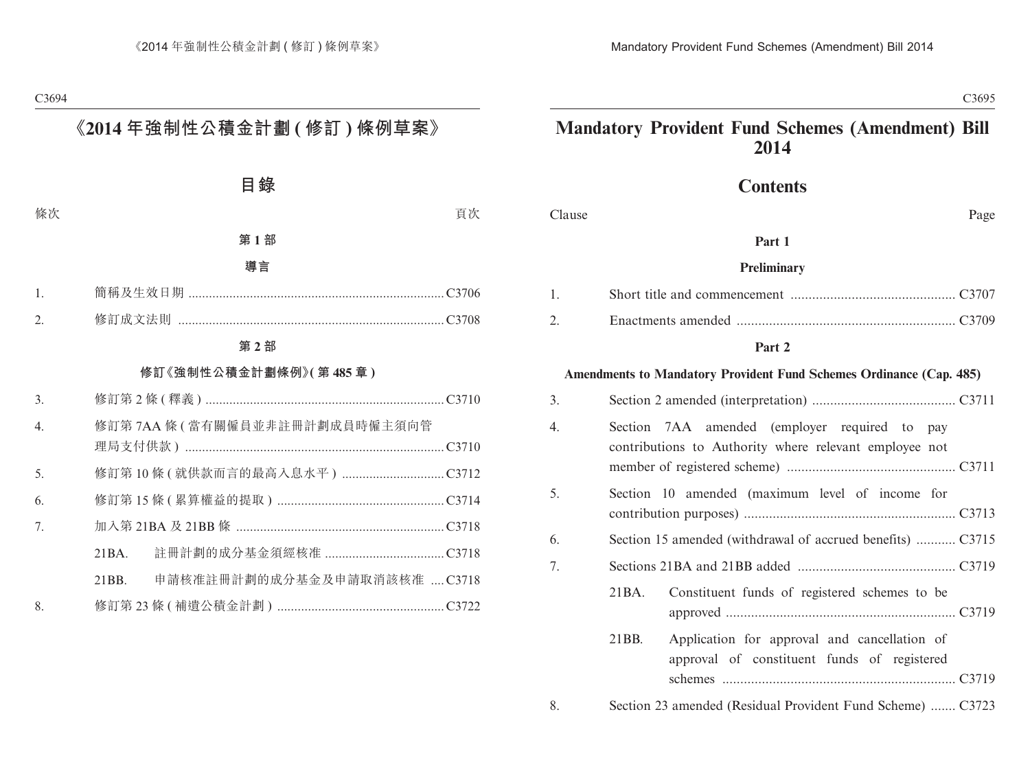# **Mandatory Provident Fund Schemes (Amendment) Bill 2014**

# **Contents**

Clause Page

#### **Part 1**

#### **Preliminary**

#### **Part 2**

#### **Amendments to Mandatory Provident Fund Schemes Ordinance (Cap. 485)**

| 3. |                                                                                                         |  |  |  |  |  |
|----|---------------------------------------------------------------------------------------------------------|--|--|--|--|--|
| 4. | Section 7AA amended (employer required to pay<br>contributions to Authority where relevant employee not |  |  |  |  |  |
| 5. | Section 10 amended (maximum level of income for                                                         |  |  |  |  |  |
| 6. | Section 15 amended (withdrawal of accrued benefits)  C3715                                              |  |  |  |  |  |
| 7. |                                                                                                         |  |  |  |  |  |
|    | Constituent funds of registered schemes to be<br>21 BA.                                                 |  |  |  |  |  |
|    | 21BB.<br>Application for approval and cancellation of<br>approval of constituent funds of registered    |  |  |  |  |  |
| 8. | Section 23 amended (Residual Provident Fund Scheme)  C3723                                              |  |  |  |  |  |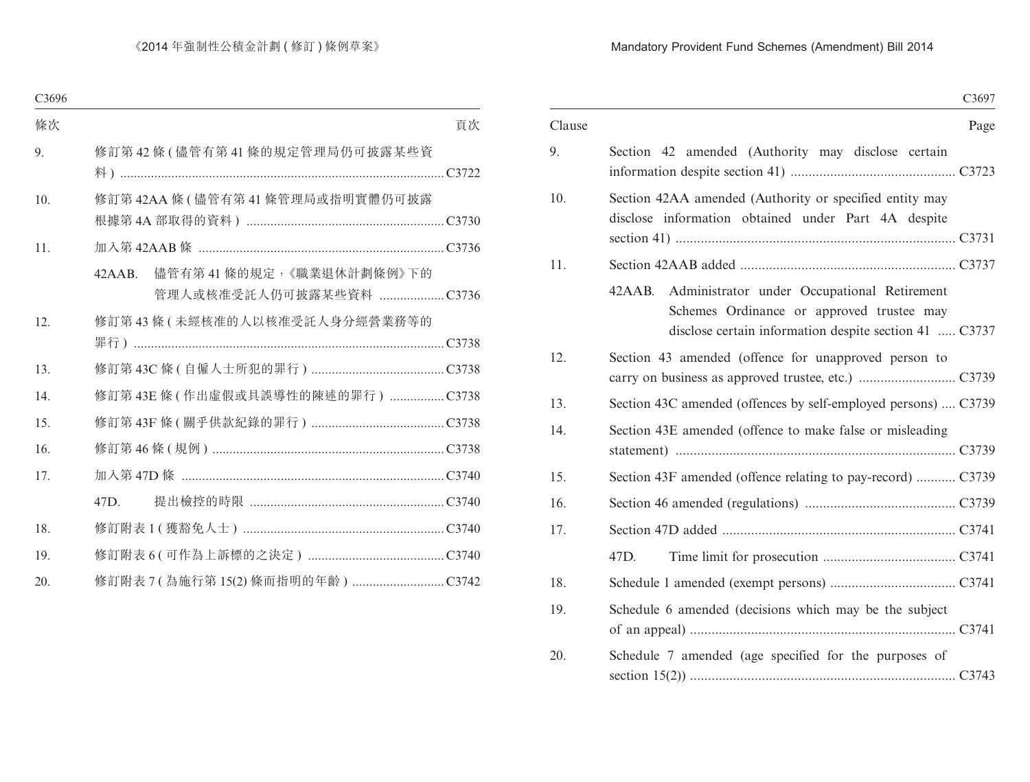## Mandatory Provident Fund Schemes (Amendment) Bill 2014

|        | C3697                                                                                                                                                        |  |
|--------|--------------------------------------------------------------------------------------------------------------------------------------------------------------|--|
| Clause | Page                                                                                                                                                         |  |
| 9.     | Section 42 amended (Authority may disclose certain                                                                                                           |  |
| 10.    | Section 42AA amended (Authority or specified entity may<br>disclose information obtained under Part 4A despite                                               |  |
| 11.    |                                                                                                                                                              |  |
|        | 42AAB.<br>Administrator under Occupational Retirement<br>Schemes Ordinance or approved trustee may<br>disclose certain information despite section 41  C3737 |  |
| 12.    | Section 43 amended (offence for unapproved person to                                                                                                         |  |
| 13.    | Section 43C amended (offences by self-employed persons)  C3739                                                                                               |  |
| 14.    | Section 43E amended (offence to make false or misleading                                                                                                     |  |
| 15.    | Section 43F amended (offence relating to pay-record)  C3739                                                                                                  |  |
| 16.    |                                                                                                                                                              |  |
| 17.    |                                                                                                                                                              |  |
|        | 47D.                                                                                                                                                         |  |
| 18.    |                                                                                                                                                              |  |
| 19.    | Schedule 6 amended (decisions which may be the subject                                                                                                       |  |
| 20.    | Schedule 7 amended (age specified for the purposes of                                                                                                        |  |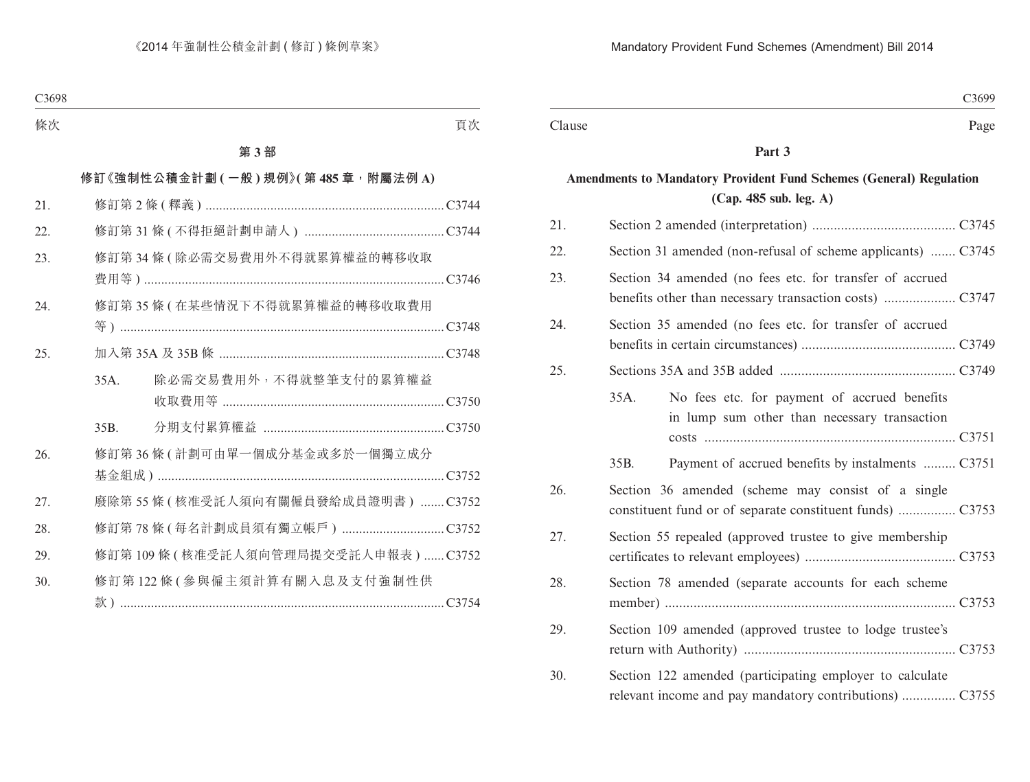### **Part 3**

# **Amendments to Mandatory Provident Fund Schemes (General) Regulation (Cap. 485 sub. leg. A)**

| 21. |                                                                                                                     |
|-----|---------------------------------------------------------------------------------------------------------------------|
| 22. | Section 31 amended (non-refusal of scheme applicants)  C3745                                                        |
| 23. | Section 34 amended (no fees etc. for transfer of accrued                                                            |
| 24. | Section 35 amended (no fees etc. for transfer of accrued                                                            |
| 25. |                                                                                                                     |
|     | 35A.<br>No fees etc. for payment of accrued benefits<br>in lump sum other than necessary transaction                |
|     | Payment of accrued benefits by instalments  C3751<br>35B.                                                           |
| 26. | Section 36 amended (scheme may consist of a single<br>constituent fund or of separate constituent funds)  C3753     |
| 27. | Section 55 repealed (approved trustee to give membership                                                            |
| 28. | Section 78 amended (separate accounts for each scheme                                                               |
| 29. | Section 109 amended (approved trustee to lodge trustee's                                                            |
| 30. | Section 122 amended (participating employer to calculate<br>relevant income and pay mandatory contributions)  C3755 |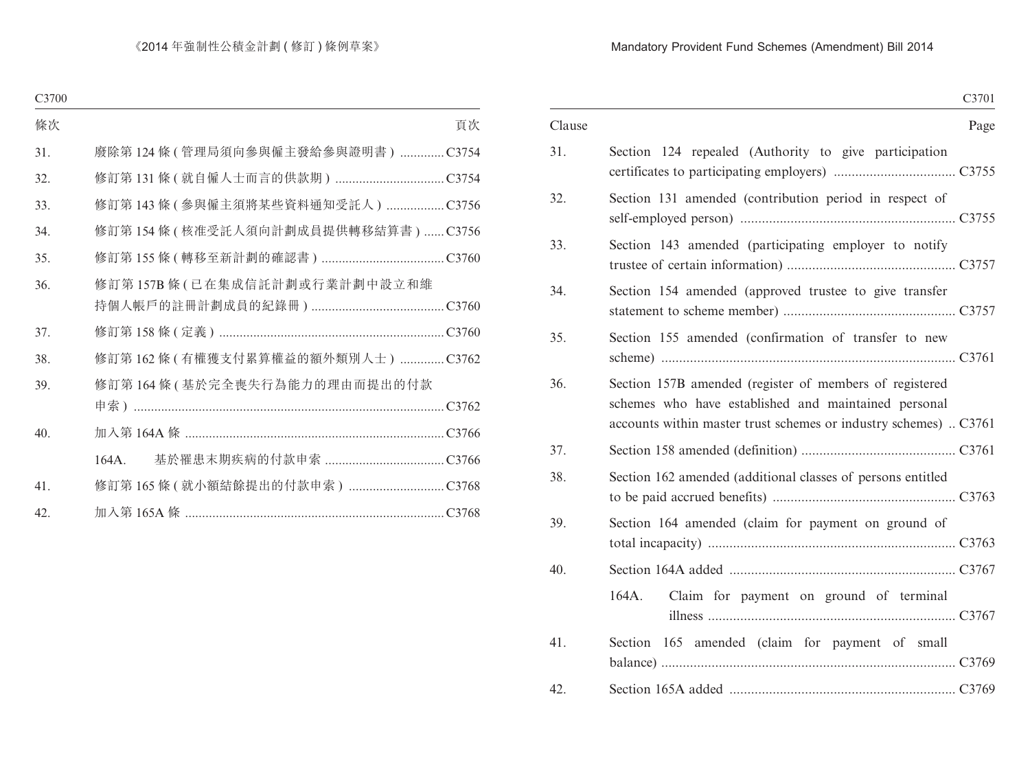## Mandatory Provident Fund Schemes (Amendment) Bill 2014

|        |                                                                                                                                                                                     | C3701 |
|--------|-------------------------------------------------------------------------------------------------------------------------------------------------------------------------------------|-------|
| Clause |                                                                                                                                                                                     | Page  |
| 31.    | Section 124 repealed (Authority to give participation                                                                                                                               |       |
| 32.    | Section 131 amended (contribution period in respect of                                                                                                                              |       |
| 33.    | Section 143 amended (participating employer to notify                                                                                                                               |       |
| 34.    | Section 154 amended (approved trustee to give transfer                                                                                                                              |       |
| 35.    | Section 155 amended (confirmation of transfer to new                                                                                                                                |       |
| 36.    | Section 157B amended (register of members of registered<br>schemes who have established and maintained personal<br>accounts within master trust schemes or industry schemes)  C3761 |       |
| 37.    |                                                                                                                                                                                     |       |
| 38.    | Section 162 amended (additional classes of persons entitled                                                                                                                         |       |
| 39.    | Section 164 amended (claim for payment on ground of                                                                                                                                 |       |
| 40.    |                                                                                                                                                                                     |       |
|        | Claim for payment on ground of terminal<br>164A.                                                                                                                                    |       |
| 41.    | Section 165 amended (claim for payment of small                                                                                                                                     |       |
| 42.    |                                                                                                                                                                                     |       |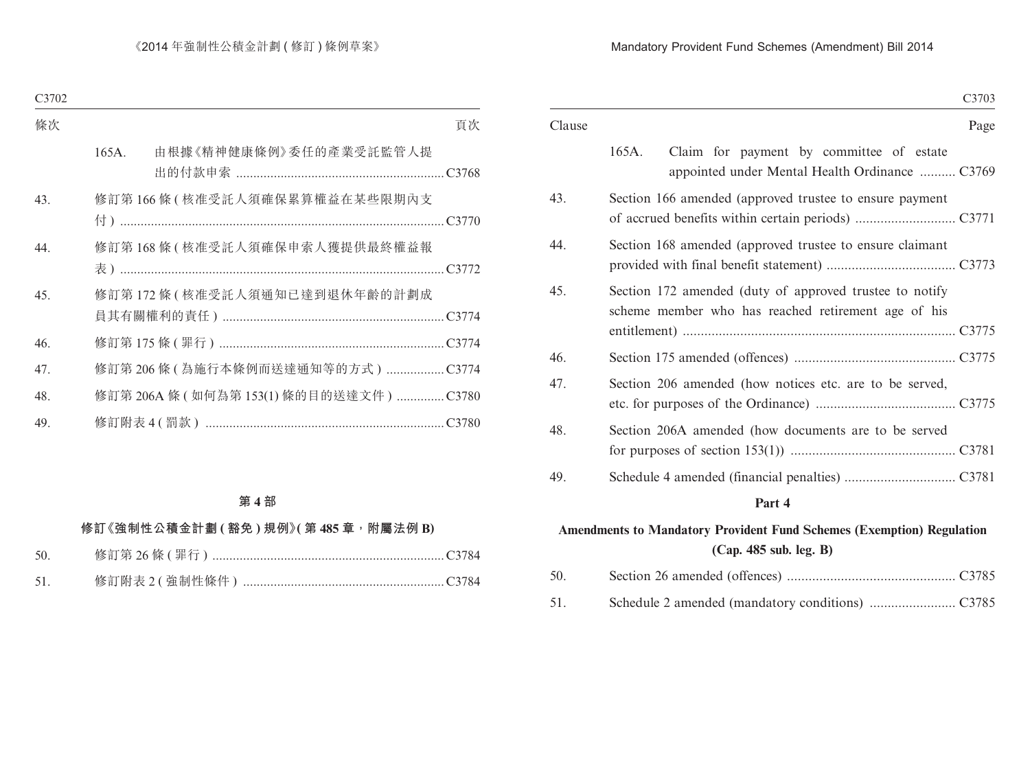#### Mandatory Provident Fund Schemes (Amendment) Bill 2014

|        | C3703                                                                                                          |
|--------|----------------------------------------------------------------------------------------------------------------|
| Clause | Page                                                                                                           |
|        | 165A.<br>Claim for payment by committee of estate<br>appointed under Mental Health Ordinance  C3769            |
| 43.    | Section 166 amended (approved trustee to ensure payment                                                        |
| 44.    | Section 168 amended (approved trustee to ensure claimant                                                       |
| 45.    | Section 172 amended (duty of approved trustee to notify<br>scheme member who has reached retirement age of his |
| 46.    |                                                                                                                |
| 47.    | Section 206 amended (how notices etc. are to be served,                                                        |
| 48.    | Section 206A amended (how documents are to be served                                                           |
| 49.    |                                                                                                                |
|        | Part 4                                                                                                         |
|        |                                                                                                                |

# **Amendments to Mandatory Provident Fund Schemes (Exemption) Regulation (Cap. 485 sub. leg. B)**

| 50. |  |
|-----|--|
| 51. |  |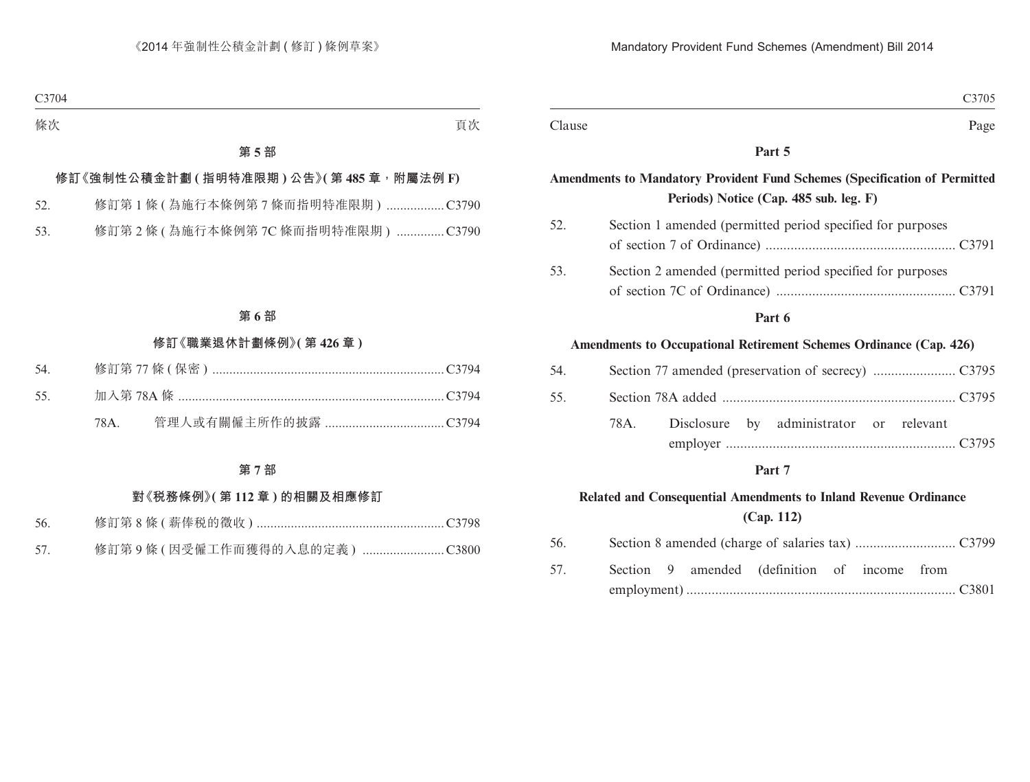|        |      |            |                                                                                                                             |  | C3705 |
|--------|------|------------|-----------------------------------------------------------------------------------------------------------------------------|--|-------|
| Clause |      |            |                                                                                                                             |  | Page  |
|        |      |            | Part 5                                                                                                                      |  |       |
|        |      |            | <b>Amendments to Mandatory Provident Fund Schemes (Specification of Permitted</b><br>Periods) Notice (Cap. 485 sub. leg. F) |  |       |
| 52.    |      |            | Section 1 amended (permitted period specified for purposes                                                                  |  |       |
| 53.    |      |            | Section 2 amended (permitted period specified for purposes                                                                  |  |       |
|        |      |            | Part 6                                                                                                                      |  |       |
|        |      |            | Amendments to Occupational Retirement Schemes Ordinance (Cap. 426)                                                          |  |       |
| 54.    |      |            |                                                                                                                             |  |       |
| 55.    |      |            |                                                                                                                             |  |       |
|        | 78A. | Disclosure | by administrator or relevant                                                                                                |  |       |

#### **Part 7**

# **Related and Consequential Amendments to Inland Revenue Ordinance (Cap. 112)**

| 56. |  |                                              |  |  |
|-----|--|----------------------------------------------|--|--|
| 57. |  | Section 9 amended (definition of income from |  |  |
|     |  |                                              |  |  |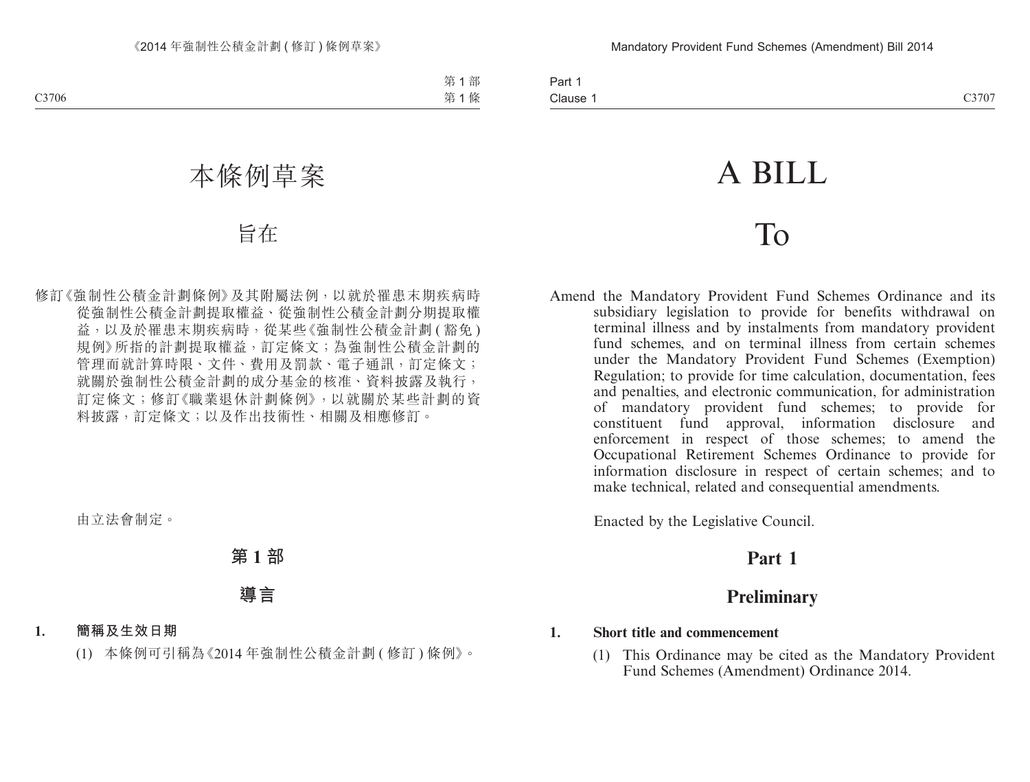# A BILL

# To

Amend the Mandatory Provident Fund Schemes Ordinance and its subsidiary legislation to provide for benefits withdrawal on terminal illness and by instalments from mandatory provident fund schemes, and on terminal illness from certain schemes under the Mandatory Provident Fund Schemes (Exemption) Regulation; to provide for time calculation, documentation, fees and penalties, and electronic communication, for administration of mandatory provident fund schemes; to provide for approval, information disclosure and enforcement in respect of those schemes; to amend the Occupational Retirement Schemes Ordinance to provide for information disclosure in respect of certain schemes; and to make technical, related and consequential amendments.

Enacted by the Legislative Council.

# **Part 1**

# **Preliminary**

## **1. Short title and commencement**

(1) This Ordinance may be cited as the Mandatory Provident Fund Schemes (Amendment) Ordinance 2014.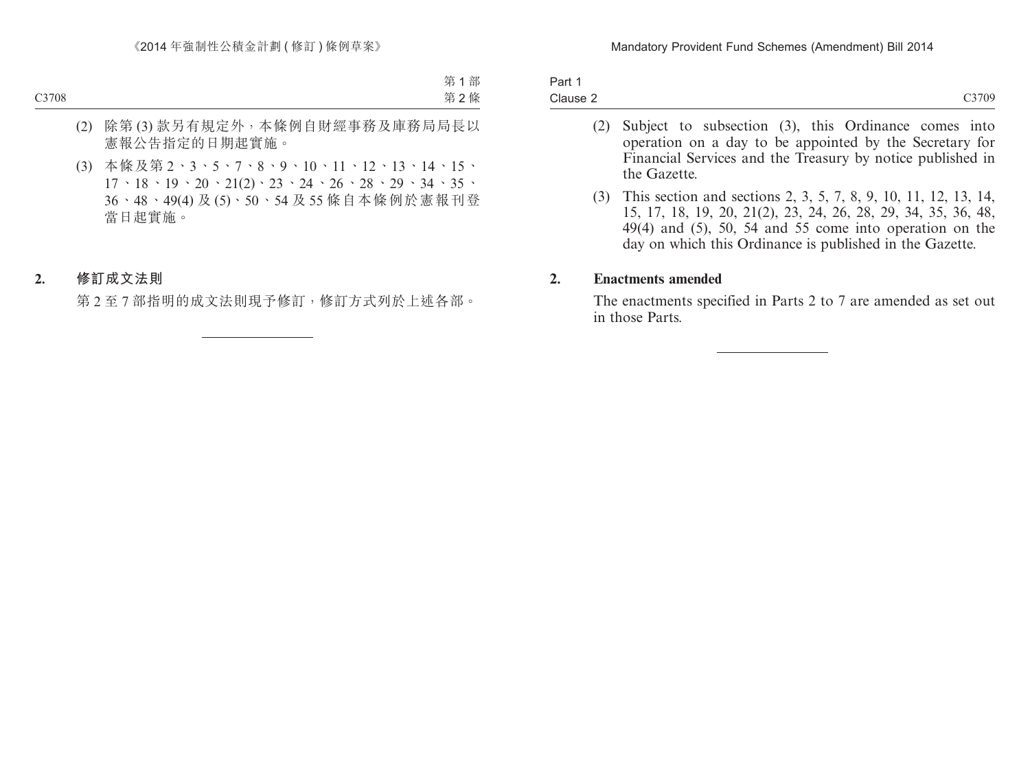| Part 1<br>Clause 2 |  |
|--------------------|--|
|                    |  |

- (2) Subject to subsection (3), this Ordinance comes into operation on a day to be appointed by the Secretary for Financial Services and the Treasury by notice published in the Gazette.
- (3) This section and sections 2, 3, 5, 7, 8, 9, 10, 11, 12, 13, 14, 15, 17, 18, 19, 20, 21(2), 23, 24, 26, 28, 29, 34, 35, 36, 48, 49(4) and (5), 50, 54 and 55 come into operation on the day on which this Ordinance is published in the Gazette.

#### **2. Enactments amended**

The enactments specified in Parts 2 to 7 are amended as set out in those Parts.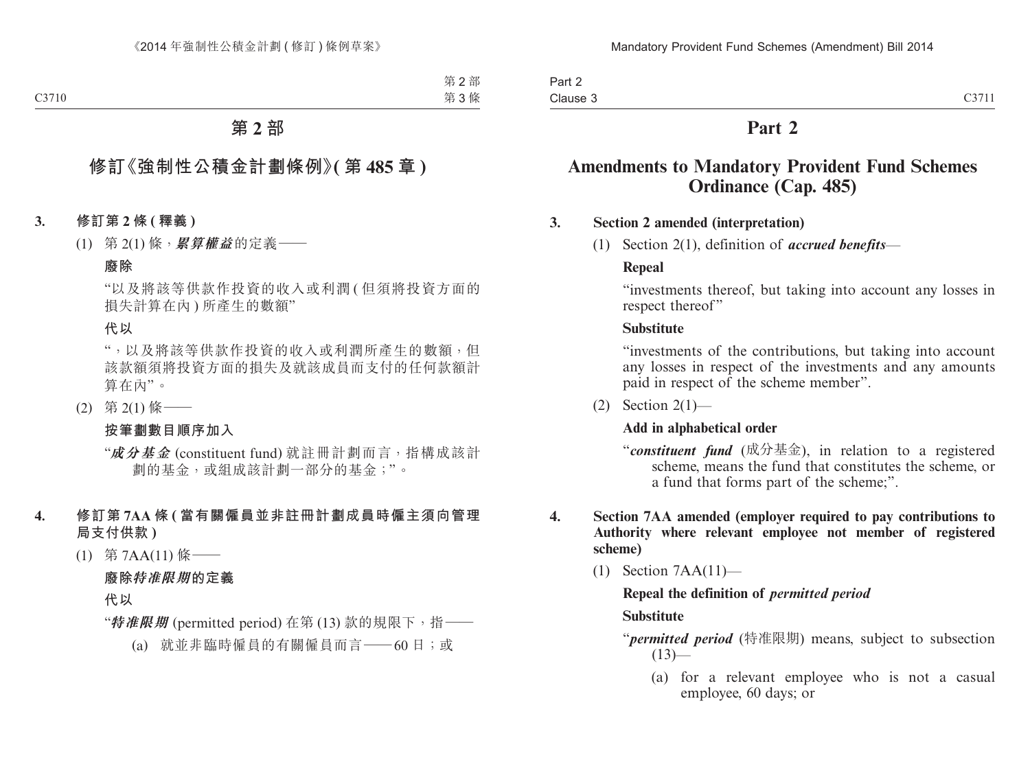Part 2 Clause 3

# **Part 2**

# **Amendments to Mandatory Provident Fund Schemes Ordinance (Cap. 485)**

#### **3. Section 2 amended (interpretation)**

(1) Section 2(1), definition of *accrued benefits*—

#### **Repeal**

"investments thereof, but taking into account any losses in respect thereof"

#### **Substitute**

"investments of the contributions, but taking into account any losses in respect of the investments and any amounts paid in respect of the scheme member".

(2) Section  $2(1)$ —

#### **Add in alphabetical order**

- "*constituent fund* (成分基金), in relation to a registered scheme, means the fund that constitutes the scheme, or a fund that forms part of the scheme;".
- **4. Section 7AA amended (employer required to pay contributions to Authority where relevant employee not member of registered scheme)**
	- (1) Section 7AA(11)—

## **Repeal the definition of** *permitted period* **Substitute**

"*permitted period* (特准限期) means, subject to subsection  $(13)$ —

(a) for a relevant employee who is not a casual employee, 60 days; or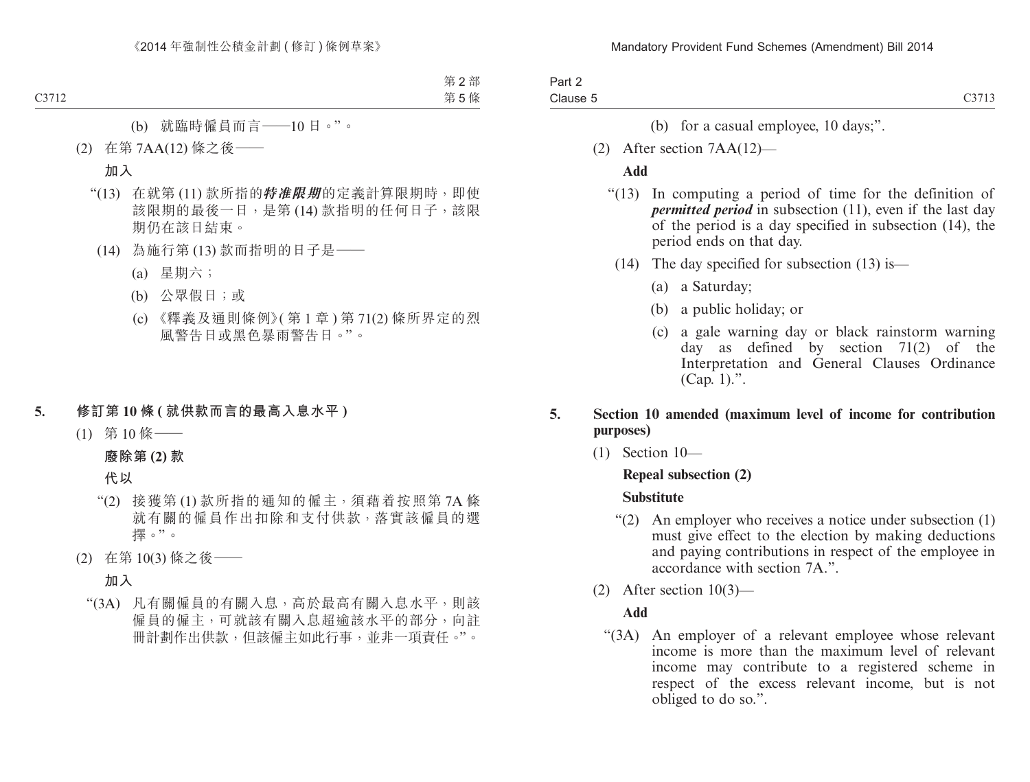| Part 2   |       |
|----------|-------|
| Clause 5 | C3713 |

- (b) for a casual employee, 10 days;".
- (2) After section 7AA(12)—

#### **Add**

- "(13) In computing a period of time for the definition of *permitted period* in subsection (11), even if the last day of the period is a day specified in subsection (14), the period ends on that day.
	- (14) The day specified for subsection (13) is—
		- (a) a Saturday;
		- (b) a public holiday; or
		- (c) a gale warning day or black rainstorm warning day as defined by section 71(2) of the Interpretation and General Clauses Ordinance (Cap. 1).".

#### **5. Section 10 amended (maximum level of income for contribution purposes)**

(1) Section 10—

#### **Repeal subsection (2)**

#### **Substitute**

- "(2) An employer who receives a notice under subsection (1) must give effect to the election by making deductions and paying contributions in respect of the employee in accordance with section 7A<sup>"</sup>.
- (2) After section 10(3)—

#### **Add**

"(3A) An employer of a relevant employee whose relevant income is more than the maximum level of relevant income may contribute to a registered scheme in respect of the excess relevant income, but is not obliged to do so.".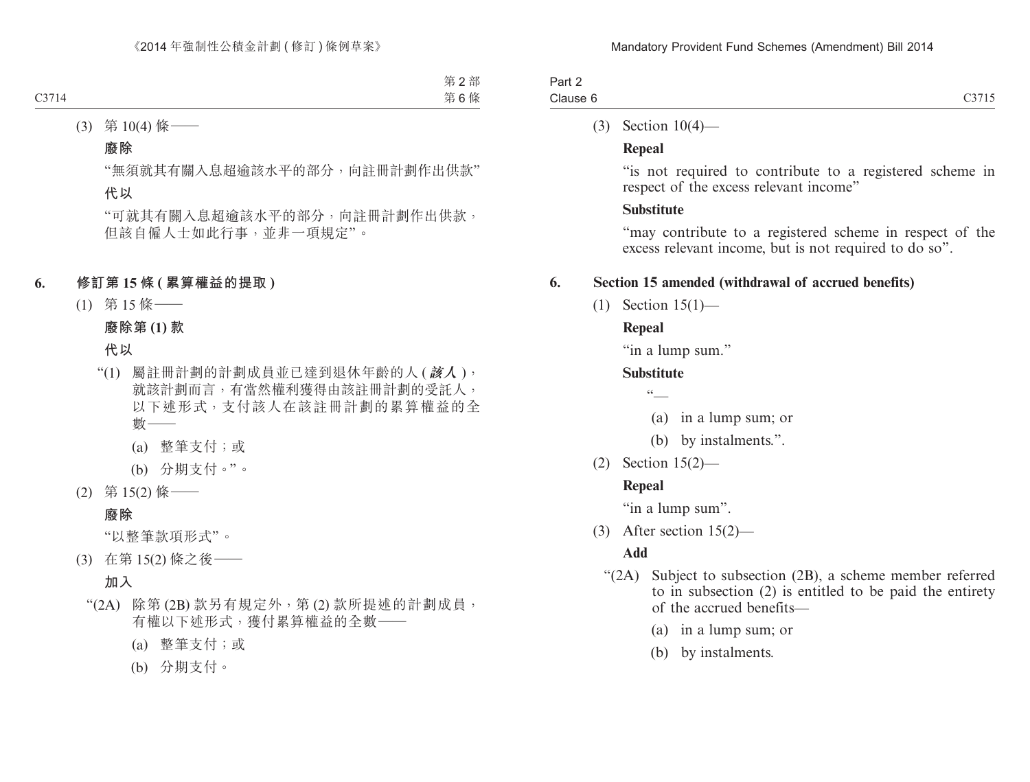| Part 2   |  |
|----------|--|
| Clause 6 |  |

## (3) Section 10(4)—

## **Repeal**

"is not required to contribute to a registered scheme in respect of the excess relevant income"

# **Substitute**

"may contribute to a registered scheme in respect of the excess relevant income, but is not required to do so".

# **6. Section 15 amended (withdrawal of accrued benefits)**

(1) Section 15(1)—

# **Repeal**

"in a lump sum."

# **Substitute**

 $\sqrt{6}$ 

- (a) in a lump sum; or
- (b) by instalments.".
- (2) Section 15(2)—

# **Repeal**

"in a lump sum".

(3) After section 15(2)—

# **Add**

- "(2A) Subject to subsection (2B), a scheme member referred to in subsection (2) is entitled to be paid the entirety of the accrued benefits—
	- (a) in a lump sum; or
	- (b) by instalments.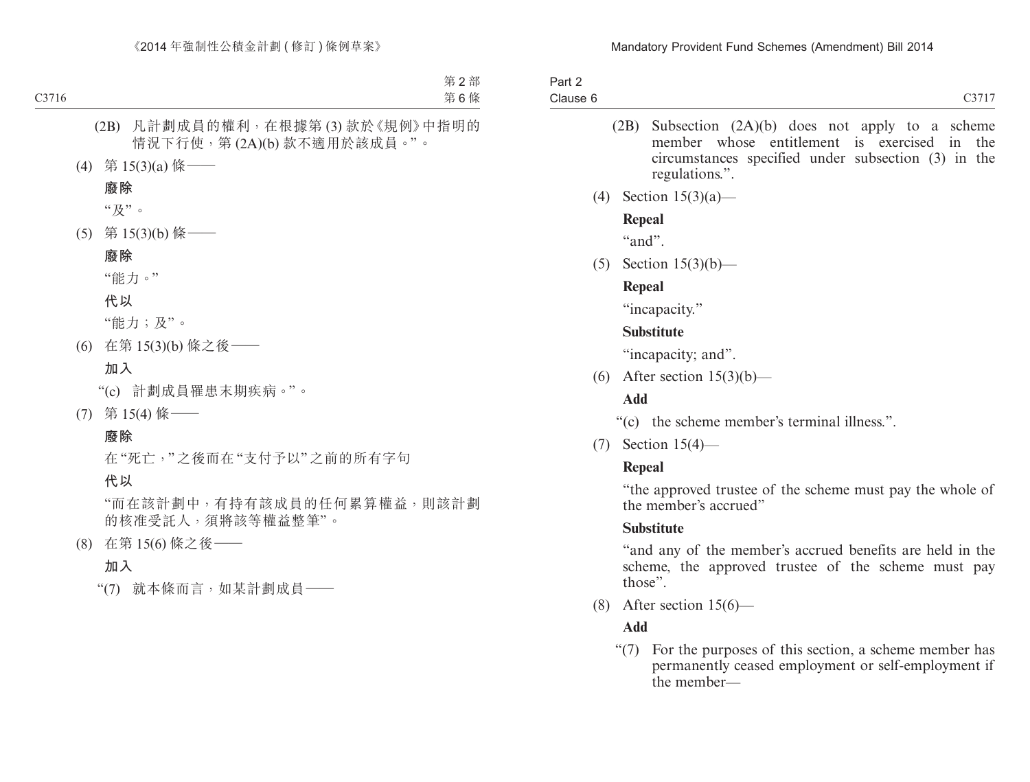| Part 2   |  |
|----------|--|
| Clause 6 |  |

- (2B) Subsection (2A)(b) does not apply to a scheme member whose entitlement is exercised in the circumstances specified under subsection (3) in the regulations.".
- (4) Section 15(3)(a)—

## **Repeal**

"and".

(5) Section 15(3)(b)—

## **Repeal**

"incapacity."

## **Substitute**

"incapacity; and".

(6) After section  $15(3)(b)$ —

# **Add**

"(c) the scheme member's terminal illness.".

(7) Section 15(4)—

# **Repeal**

"the approved trustee of the scheme must pay the whole of the member's accrued"

# **Substitute**

"and any of the member's accrued benefits are held in the scheme, the approved trustee of the scheme must pay those".

(8) After section 15(6)—

# **Add**

"(7) For the purposes of this section, a scheme member has permanently ceased employment or self-employment if the member—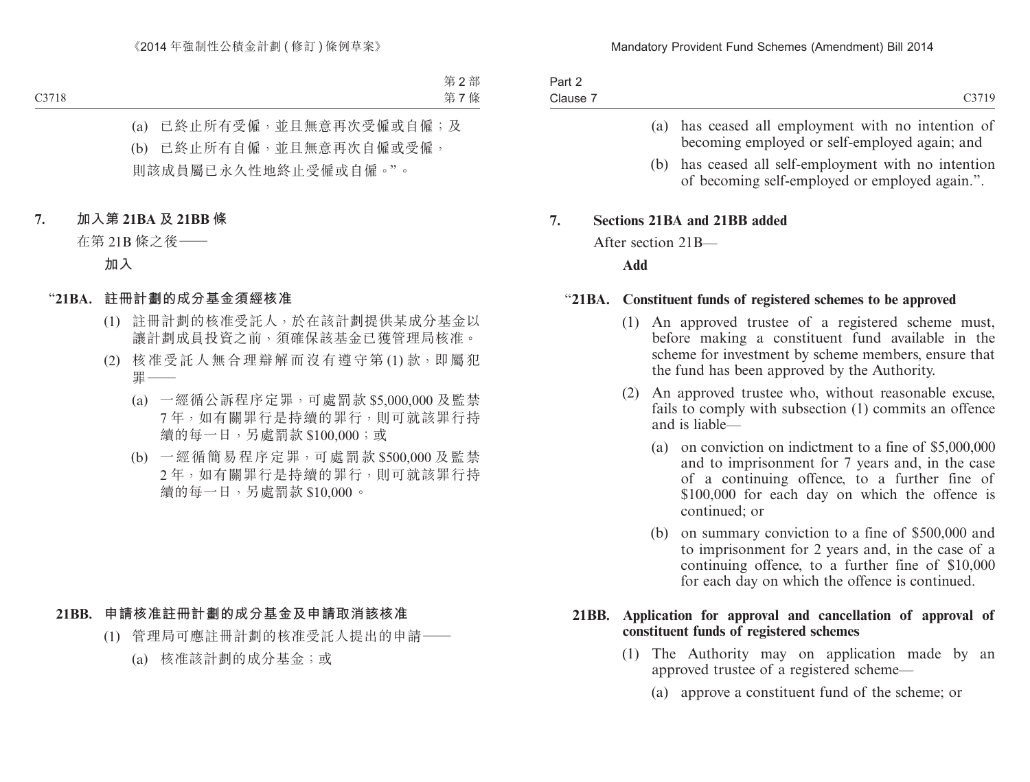| Part 2   |            |
|----------|------------|
| Clause 7 | $C_{2710}$ |

- (a) has ceased all employment with no intention of becoming employed or self-employed again; and
- (b) has ceased all self-employment with no intention of becoming self-employed or employed again.".

#### **7. Sections 21BA and 21BB added**

After section 21B—

**Add**

#### "**21BA. Constituent funds of registered schemes to be approved**

- (1) An approved trustee of a registered scheme must, before making a constituent fund available in the scheme for investment by scheme members, ensure that the fund has been approved by the Authority.
- (2) An approved trustee who, without reasonable excuse, fails to comply with subsection (1) commits an offence and is liable—
	- (a) on conviction on indictment to a fine of \$5,000,000 and to imprisonment for 7 years and, in the case of a continuing offence, to a further fine of \$100,000 for each day on which the offence is continued; or
	- (b) on summary conviction to a fine of \$500,000 and to imprisonment for 2 years and, in the case of a continuing offence, to a further fine of \$10,000 for each day on which the offence is continued.

#### **21BB. Application for approval and cancellation of approval of constituent funds of registered schemes**

- (1) The Authority may on application made by an approved trustee of a registered scheme—
	- (a) approve a constituent fund of the scheme; or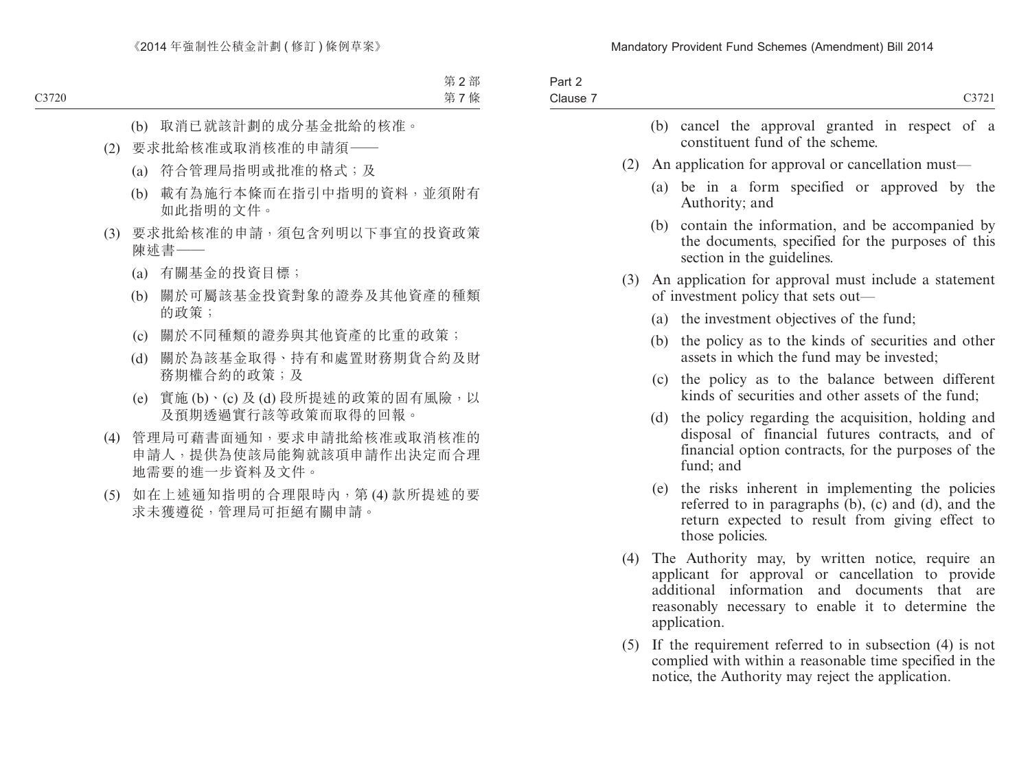| Part 2<br>Clause 7 |     | C3721                                                                                                                                                                                                                                 |
|--------------------|-----|---------------------------------------------------------------------------------------------------------------------------------------------------------------------------------------------------------------------------------------|
|                    |     | (b) cancel the approval granted in respect of a<br>constituent fund of the scheme.                                                                                                                                                    |
|                    | (2) | An application for approval or cancellation must—                                                                                                                                                                                     |
|                    |     | (a) be in a form specified or approved by the<br>Authority; and                                                                                                                                                                       |
|                    |     | contain the information, and be accompanied by<br>(b)<br>the documents, specified for the purposes of this<br>section in the guidelines.                                                                                              |
|                    | (3) | An application for approval must include a statement<br>of investment policy that sets out—                                                                                                                                           |
|                    |     | (a) the investment objectives of the fund;                                                                                                                                                                                            |
|                    |     | the policy as to the kinds of securities and other<br>(b)<br>assets in which the fund may be invested;                                                                                                                                |
|                    |     | the policy as to the balance between different<br>(c)<br>kinds of securities and other assets of the fund;                                                                                                                            |
|                    |     | the policy regarding the acquisition, holding and<br>(d)<br>disposal of financial futures contracts, and of<br>financial option contracts, for the purposes of the<br>fund; and                                                       |
|                    |     | the risks inherent in implementing the policies<br>(e)<br>referred to in paragraphs (b), (c) and (d), and the<br>return expected to result from giving effect to<br>those policies.                                                   |
|                    | (4) | The Authority may, by written notice, require an<br>applicant for approval or cancellation to provide<br>additional information<br>and documents<br>that<br>are<br>reasonably necessary to enable it to determine the<br>application. |
|                    | (5) | If the requirement referred to in subsection $(4)$ is not<br>complied with within a reasonable time specified in the<br>notice, the Authority may reject the application.                                                             |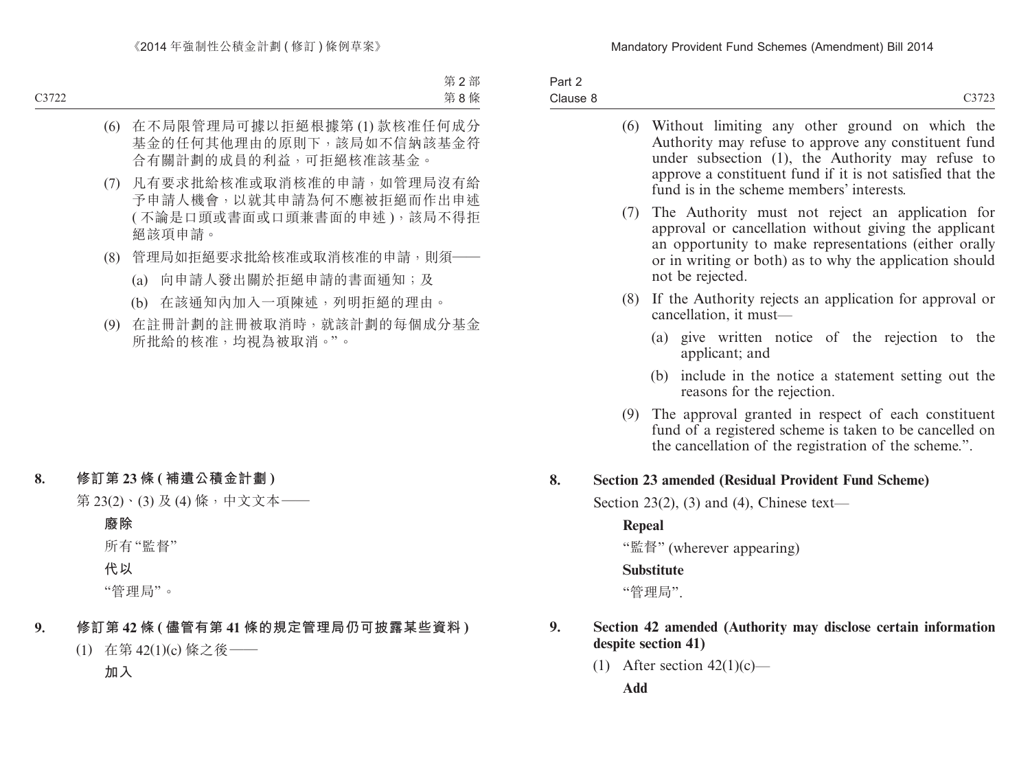| Part 2   |        |
|----------|--------|
| Clause 8 | 0.2722 |

|    |        | (6) Without limiting any other ground on which the<br>Authority may refuse to approve any constituent fund<br>under subsection (1), the Authority may refuse to<br>approve a constituent fund if it is not satisfied that the<br>fund is in the scheme members' interests. |
|----|--------|----------------------------------------------------------------------------------------------------------------------------------------------------------------------------------------------------------------------------------------------------------------------------|
|    | (7)    | The Authority must not reject an application for<br>approval or cancellation without giving the applicant<br>an opportunity to make representations (either orally<br>or in writing or both) as to why the application should<br>not be rejected.                          |
|    | (8)    | If the Authority rejects an application for approval or<br>cancellation, it must-                                                                                                                                                                                          |
|    |        | (a) give written notice of the rejection to the<br>applicant; and                                                                                                                                                                                                          |
|    |        | include in the notice a statement setting out the<br>(b)<br>reasons for the rejection.                                                                                                                                                                                     |
|    | (9)    | The approval granted in respect of each constituent<br>fund of a registered scheme is taken to be cancelled on<br>the cancellation of the registration of the scheme.".                                                                                                    |
| 8. |        | <b>Section 23 amended (Residual Provident Fund Scheme)</b>                                                                                                                                                                                                                 |
|    |        | Section 23(2), (3) and (4), Chinese text—                                                                                                                                                                                                                                  |
|    | Repeal |                                                                                                                                                                                                                                                                            |
|    |        | "監督" (wherever appearing)                                                                                                                                                                                                                                                  |
|    |        | <b>Substitute</b>                                                                                                                                                                                                                                                          |
|    |        | "管理局".                                                                                                                                                                                                                                                                     |
| 9. |        | Section 42 amended (Authority may disclose certain information<br>despite section 41)                                                                                                                                                                                      |
|    |        | $(1)$ After section $42(1)(a)$                                                                                                                                                                                                                                             |

(1) After section  $42(1)(c)$ —

**Add**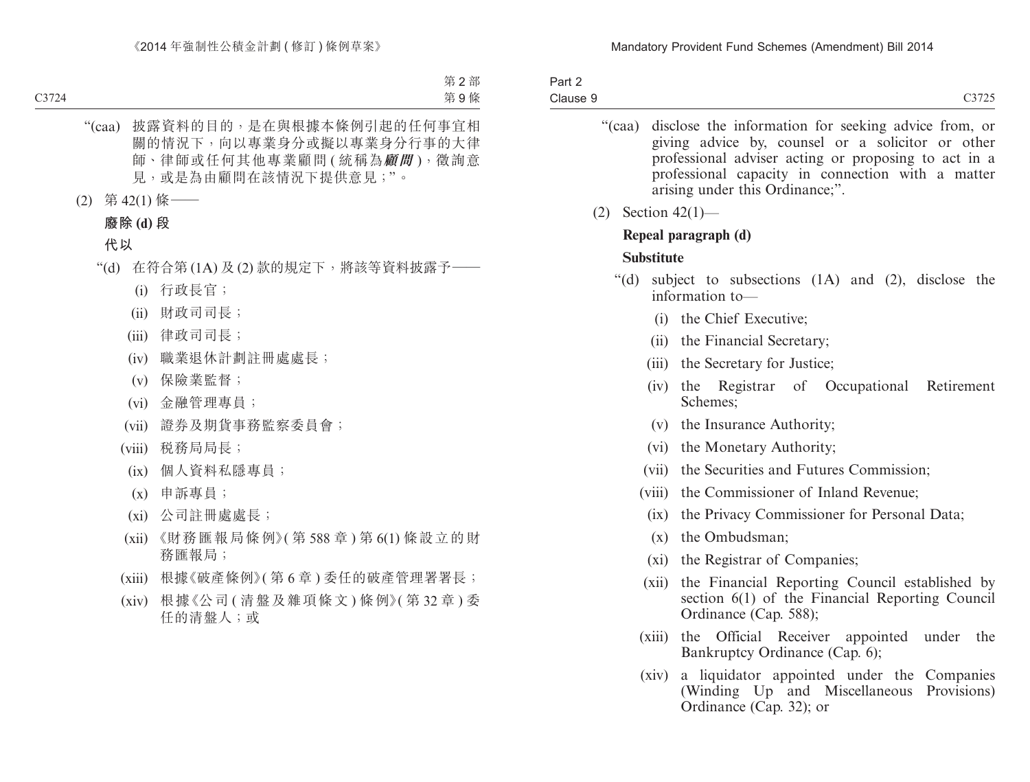- "(caa) disclose the information for seeking advice from, or giving advice by, counsel or a solicitor or other professional adviser acting or proposing to act in a professional capacity in connection with a matter arising under this Ordinance;".
- (2) Section 42(1)—

## **Repeal paragraph (d)**

## **Substitute**

- "(d) subject to subsections (1A) and (2), disclose the information to—
	- (i) the Chief Executive;
	- (ii) the Financial Secretary;
	- (iii) the Secretary for Justice;
	- (iv) the Registrar of Occupational Retirement Schemes;
	- (v) the Insurance Authority;
	- (vi) the Monetary Authority;
	- (vii) the Securities and Futures Commission;
	- (viii) the Commissioner of Inland Revenue;
		- (ix) the Privacy Commissioner for Personal Data;
		- (x) the Ombudsman;
		- (xi) the Registrar of Companies;
	- (xii) the Financial Reporting Council established by section 6(1) of the Financial Reporting Council Ordinance (Cap. 588);
	- (xiii) the Official Receiver appointed under the Bankruptcy Ordinance (Cap. 6);
	- (xiv) a liquidator appointed under the Companies (Winding Up and Miscellaneous Provisions) Ordinance (Cap. 32); or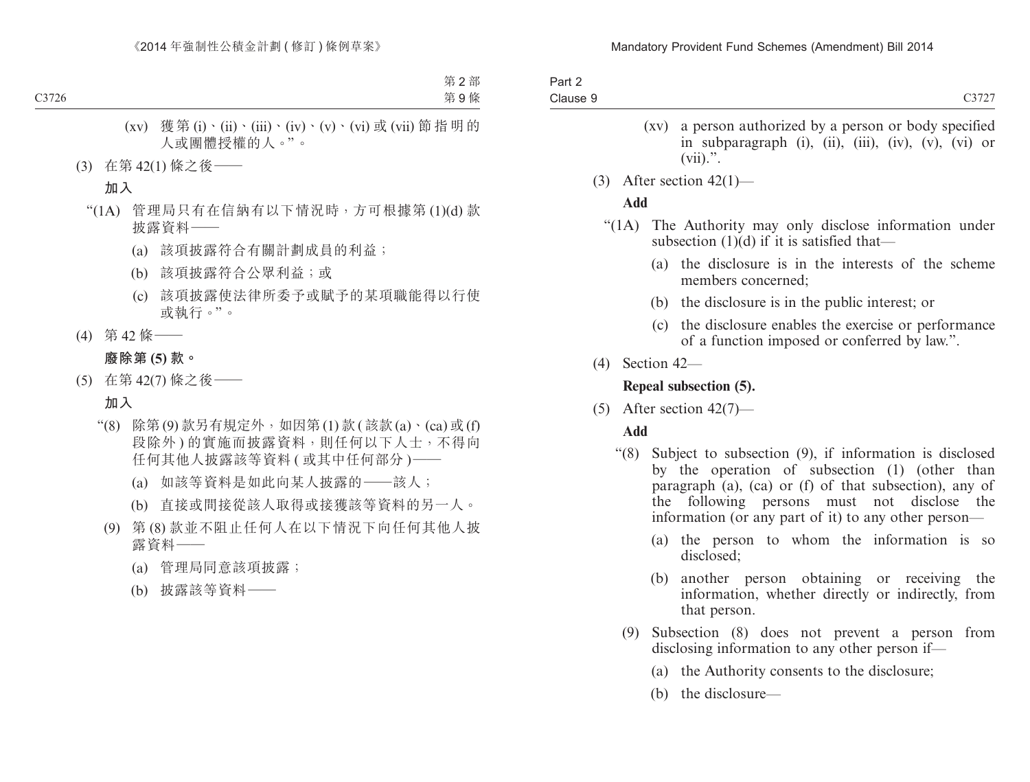| Part 2   |  |
|----------|--|
| Clause 9 |  |
|          |  |

- (xv) a person authorized by a person or body specified in subparagraph (i), (ii), (iii), (iv), (v), (vi) or  $(vii).$ ".
- (3) After section  $42(1)$ —

## **Add**

- "(1A) The Authority may only disclose information under subsection  $(1)(d)$  if it is satisfied that—
	- (a) the disclosure is in the interests of the scheme members concerned;
	- (b) the disclosure is in the public interest; or
	- (c) the disclosure enables the exercise or performance of a function imposed or conferred by law.".
- (4) Section 42—

## **Repeal subsection (5).**

(5) After section  $42(7)$ —

# **Add**

- "(8) Subject to subsection (9), if information is disclosed by the operation of subsection (1) (other than paragraph (a), (ca) or (f) of that subsection), any of the following persons must not disclose the information (or any part of it) to any other person—
	- (a) the person to whom the information is so disclosed;
	- (b) another person obtaining or receiving the information, whether directly or indirectly, from that person.
	- (9) Subsection (8) does not prevent a person from disclosing information to any other person if—
		- (a) the Authority consents to the disclosure;
		- (b) the disclosure—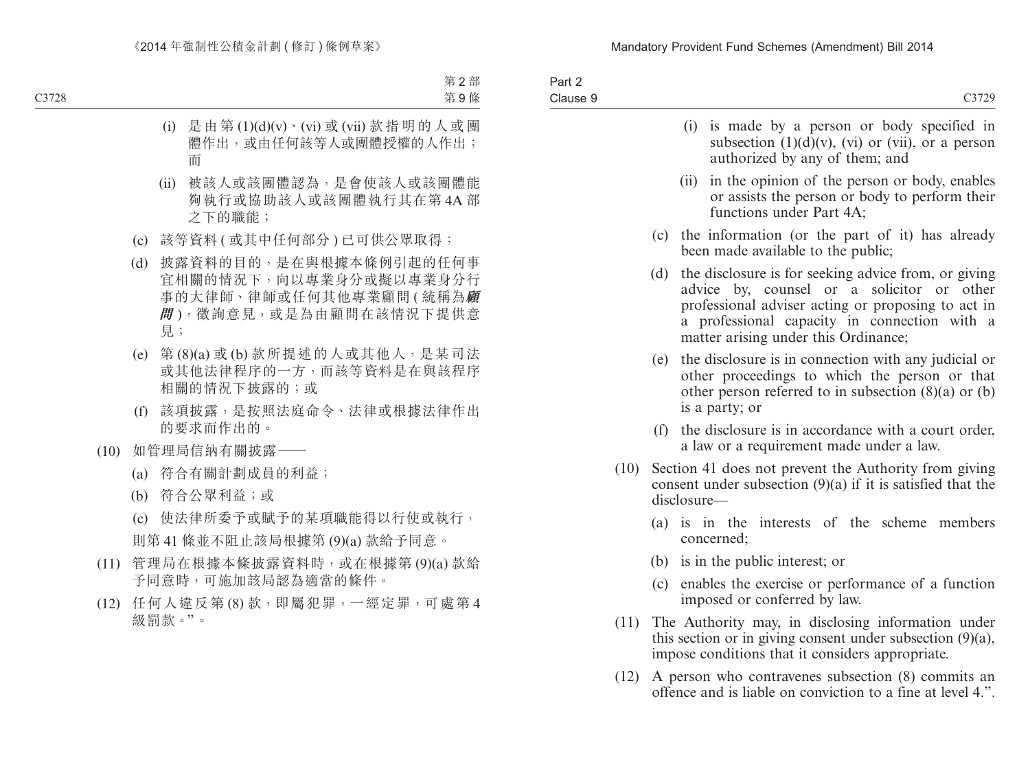| Part 2<br>Clause 9 | C3729                                                                                                                                                                                                                                                |
|--------------------|------------------------------------------------------------------------------------------------------------------------------------------------------------------------------------------------------------------------------------------------------|
|                    | (i) is made by a person or body specified in<br>subsection $(1)(d)(v)$ , $(vi)$ or $(vii)$ , or a person<br>authorized by any of them; and                                                                                                           |
|                    | (ii) in the opinion of the person or body, enables<br>or assists the person or body to perform their<br>functions under Part 4A;                                                                                                                     |
|                    | (c) the information (or the part of it) has already<br>been made available to the public;                                                                                                                                                            |
|                    | (d) the disclosure is for seeking advice from, or giving<br>advice by, counsel or a solicitor or other<br>professional adviser acting or proposing to act in<br>a professional capacity in connection with a<br>matter arising under this Ordinance; |

- (e) the disclosure is in connection with any judicial or other proceedings to which the person or that other person referred to in subsection (8)(a) or (b) is a party; or
- (f) the disclosure is in accordance with a court order, a law or a requirement made under a law.
- (10) Section 41 does not prevent the Authority from giving consent under subsection (9)(a) if it is satisfied that the disclosure—
	- (a) is in the interests of the scheme members concerned;
	- (b) is in the public interest; or
	- (c) enables the exercise or performance of a function imposed or conferred by law.
- (11) The Authority may, in disclosing information under this section or in giving consent under subsection (9)(a), impose conditions that it considers appropriate.
- (12) A person who contravenes subsection (8) commits an offence and is liable on conviction to a fine at level 4.".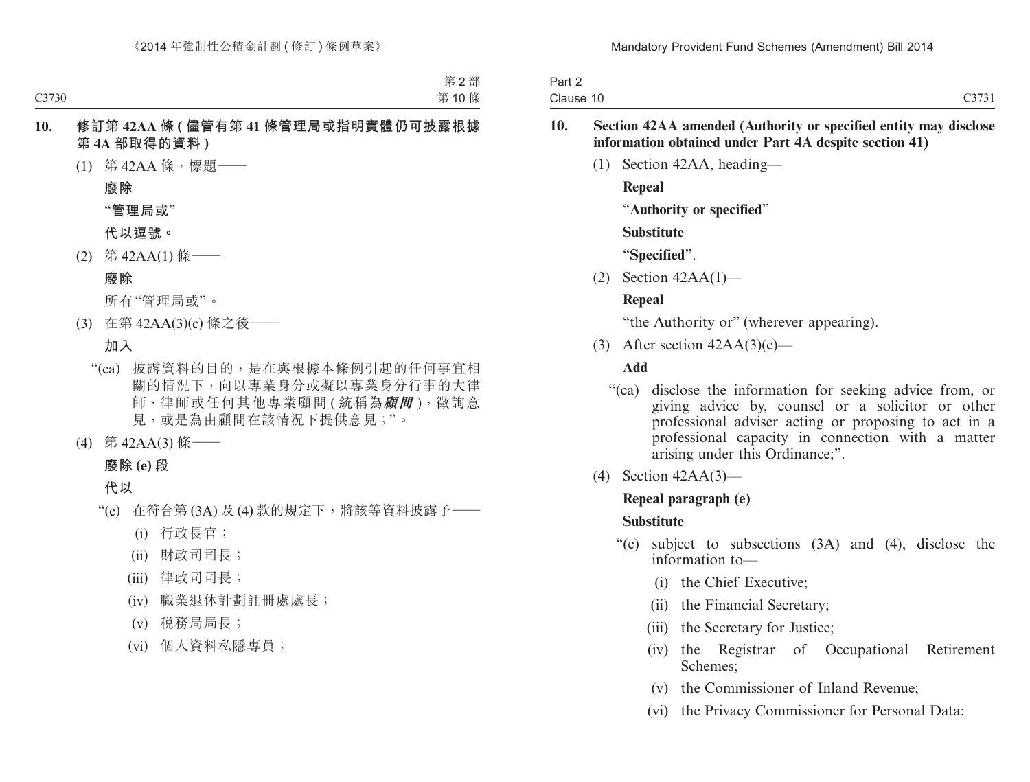| Part 2    |       |
|-----------|-------|
| Clause 10 | C3731 |

#### **10. Section 42AA amended (Authority or specified entity may disclose information obtained under Part 4A despite section 41)**

(1) Section 42AA, heading—

**Repeal**

"**Authority or specified**"

**Substitute**

"**Specified**".

(2) Section 42AA(1)—

## **Repeal**

"the Authority or" (wherever appearing).

(3) After section  $42AA(3)(c)$ —

## **Add**

- "(ca) disclose the information for seeking advice from, or giving advice by, counsel or a solicitor or other professional adviser acting or proposing to act in a professional capacity in connection with a matter arising under this Ordinance;".
- (4) Section 42AA(3)—

## **Repeal paragraph (e)**

## **Substitute**

- "(e) subject to subsections (3A) and (4), disclose the information to—
	- (i) the Chief Executive;
	- (ii) the Financial Secretary;
	- (iii) the Secretary for Justice;
	- (iv) the Registrar of Occupational Retirement Schemes;
	- (v) the Commissioner of Inland Revenue;
	- (vi) the Privacy Commissioner for Personal Data;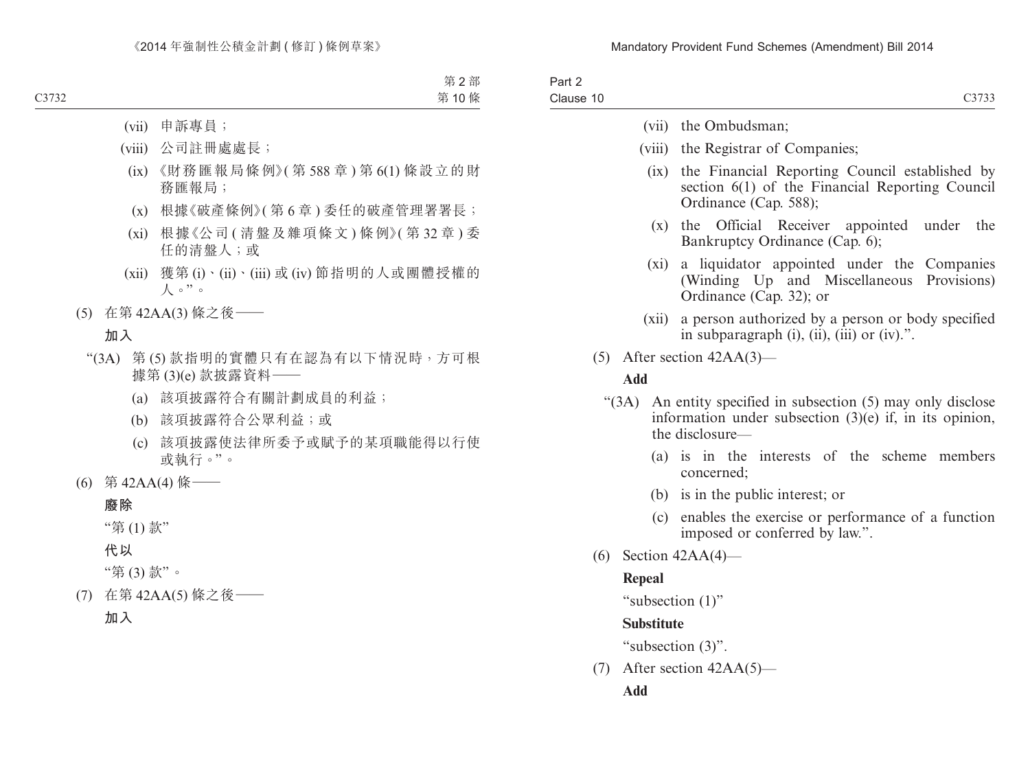| Part 2<br>Clause 10     | C3733                                                                                                                                   |
|-------------------------|-----------------------------------------------------------------------------------------------------------------------------------------|
|                         | (vii) the Ombudsman;                                                                                                                    |
|                         | (viii) the Registrar of Companies;                                                                                                      |
| (ix)                    | the Financial Reporting Council established by<br>section 6(1) of the Financial Reporting Council<br>Ordinance (Cap. 588);              |
| $(\mathbf{x})$          | Official Receiver<br>the<br>under<br>the<br>appointed<br>Bankruptcy Ordinance (Cap. 6);                                                 |
| (xi)                    | a liquidator appointed under the Companies<br>(Winding Up and Miscellaneous Provisions)<br>Ordinance (Cap. 32); or                      |
| (xii)                   | a person authorized by a person or body specified<br>in subparagraph (i), (ii), (iii) or (iv).".                                        |
| (5)                     | After section $42AA(3)$ —                                                                                                               |
| Add                     |                                                                                                                                         |
| (3A)                    | An entity specified in subsection (5) may only disclose<br>information under subsection $(3)(e)$ if, in its opinion,<br>the disclosure- |
|                         | (a) is in the interests of the scheme members<br>concerned;                                                                             |
| (b)                     | is in the public interest; or                                                                                                           |
| (c)                     | enables the exercise or performance of a function<br>imposed or conferred by law.".                                                     |
| (6) Section $42AA(4)$ — |                                                                                                                                         |
| Repeal                  |                                                                                                                                         |
| "subsection $(1)$ "     |                                                                                                                                         |
| <b>Substitute</b>       |                                                                                                                                         |
|                         | "subsection (3)".                                                                                                                       |
| (7)                     | After section $42AA(5)$ —                                                                                                               |

**Add**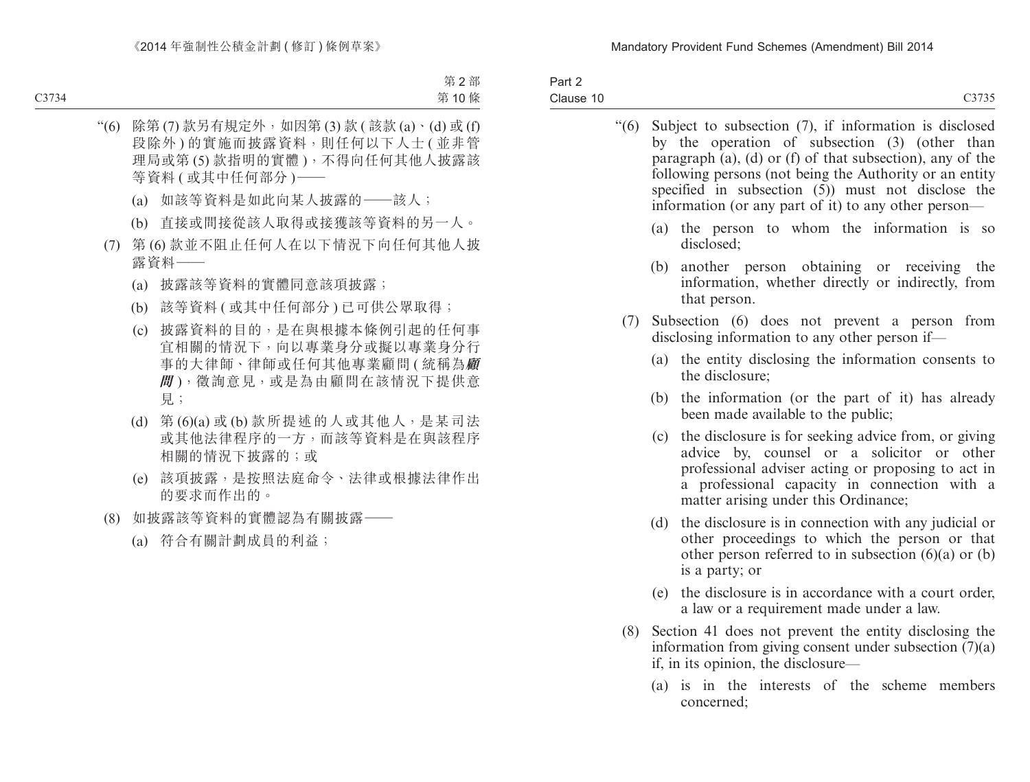| Part 2    |  |
|-----------|--|
| Clause 10 |  |

| $\degree(6)$ |     | Subject to subsection (7), if information is disclosed<br>by the operation of subsection (3) (other than<br>paragraph $(a)$ , $(d)$ or $(f)$ of that subsection), any of the<br>following persons (not being the Authority or an entity<br>specified in subsection (5)) must not disclose the<br>information (or any part of it) to any other person— |
|--------------|-----|-------------------------------------------------------------------------------------------------------------------------------------------------------------------------------------------------------------------------------------------------------------------------------------------------------------------------------------------------------|
|              |     | (a) the person to whom the information is so<br>disclosed;                                                                                                                                                                                                                                                                                            |
|              | (b) | another person obtaining or receiving the<br>information, whether directly or indirectly, from<br>that person.                                                                                                                                                                                                                                        |
| (7)          |     | Subsection (6) does not prevent a person from<br>disclosing information to any other person if—                                                                                                                                                                                                                                                       |
|              |     | (a) the entity disclosing the information consents to<br>the disclosure;                                                                                                                                                                                                                                                                              |
|              | (b) | the information (or the part of it) has already<br>been made available to the public;                                                                                                                                                                                                                                                                 |
|              | (c) | the disclosure is for seeking advice from, or giving<br>advice by, counsel or a solicitor or<br>other<br>professional adviser acting or proposing to act in<br>a professional capacity in connection with a<br>matter arising under this Ordinance;                                                                                                   |
|              | (d) | the disclosure is in connection with any judicial or<br>other proceedings to which the person or that<br>other person referred to in subsection $(6)(a)$ or $(b)$<br>is a party; or                                                                                                                                                                   |
|              | (e) | the disclosure is in accordance with a court order,                                                                                                                                                                                                                                                                                                   |

- a law or a requirement made under a law.
- (8) Section 41 does not prevent the entity disclosing the information from giving consent under subsection (7)(a) if, in its opinion, the disclosure—
	- (a) is in the interests of the scheme members concerned;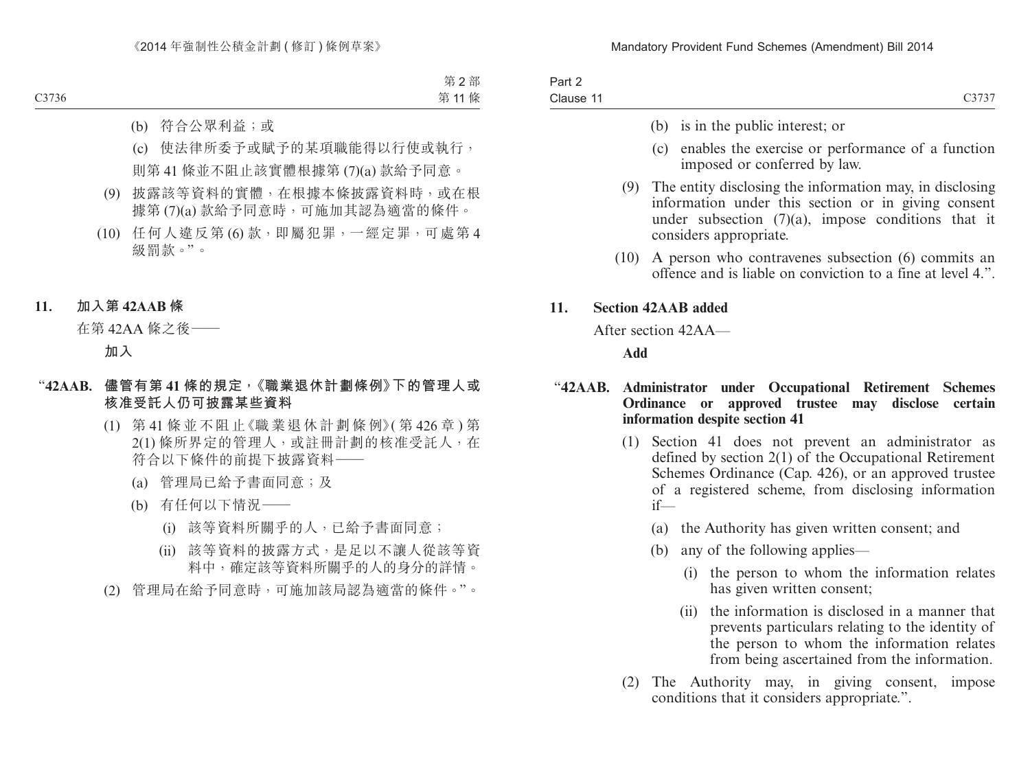| Part 2    |       |
|-----------|-------|
| Clause 11 | C3737 |

- (b) is in the public interest; or
- (c) enables the exercise or performance of a function imposed or conferred by law.
- (9) The entity disclosing the information may, in disclosing information under this section or in giving consent under subsection (7)(a), impose conditions that it considers appropriate.
- (10) A person who contravenes subsection (6) commits an offence and is liable on conviction to a fine at level 4.".

#### **11. Section 42AAB added**

After section 42AA—

**Add**

#### "**42AAB. Administrator under Occupational Retirement Schemes Ordinance or approved trustee may disclose certain information despite section 41**

- (1) Section 41 does not prevent an administrator as defined by section 2(1) of the Occupational Retirement Schemes Ordinance (Cap. 426), or an approved trustee of a registered scheme, from disclosing information if—
	- (a) the Authority has given written consent; and
	- (b) any of the following applies—
		- (i) the person to whom the information relates has given written consent;
		- (ii) the information is disclosed in a manner that prevents particulars relating to the identity of the person to whom the information relates from being ascertained from the information.
- (2) The Authority may, in giving consent, impose conditions that it considers appropriate.".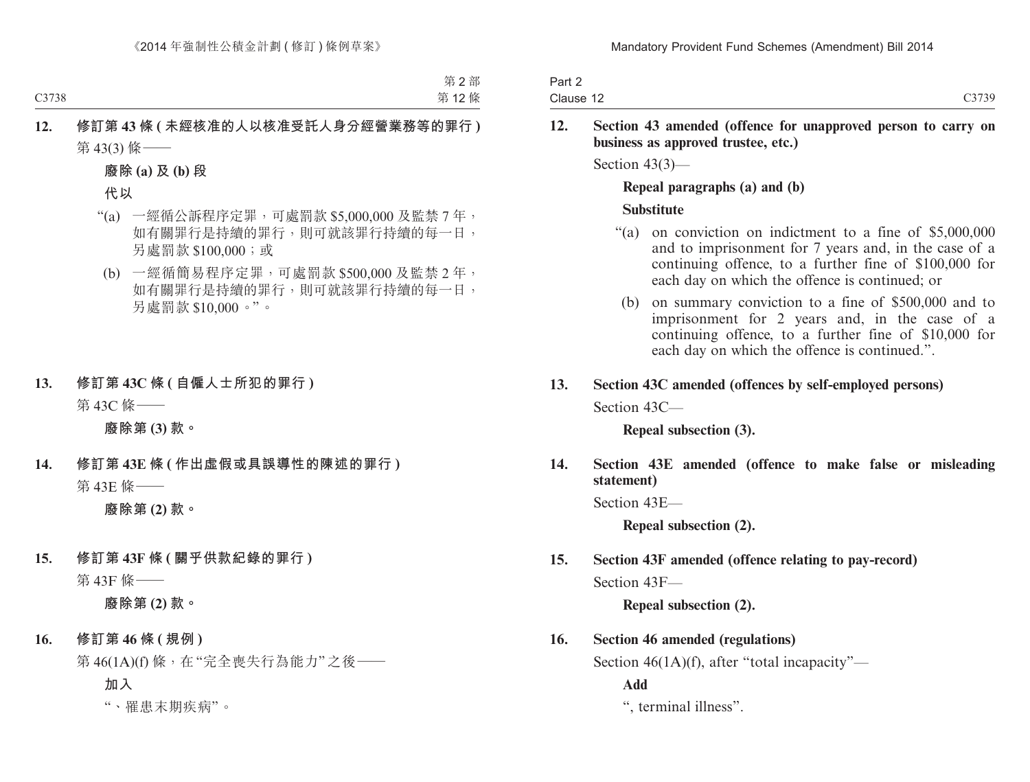| Part 2    |       |
|-----------|-------|
| Clause 12 | C3739 |

#### **12. Section 43 amended (offence for unapproved person to carry on business as approved trustee, etc.)**

Section 43(3)—

#### **Repeal paragraphs (a) and (b)**

#### **Substitute**

- "(a) on conviction on indictment to a fine of \$5,000,000 and to imprisonment for 7 years and, in the case of a continuing offence, to a further fine of \$100,000 for each day on which the offence is continued; or
- (b) on summary conviction to a fine of \$500,000 and to imprisonment for 2 years and, in the case of a continuing offence, to a further fine of \$10,000 for each day on which the offence is continued.".

## **13. Section 43C amended (offences by self-employed persons)**

Section 43C—

**Repeal subsection (3).**

**14. Section 43E amended (offence to make false or misleading statement)**

Section 43E—

**Repeal subsection (2).**

# **15. Section 43F amended (offence relating to pay-record)**

Section 43F—

**Repeal subsection (2).**

## **16. Section 46 amended (regulations)**

Section 46(1A)(f), after "total incapacity"—

**Add**

", terminal illness".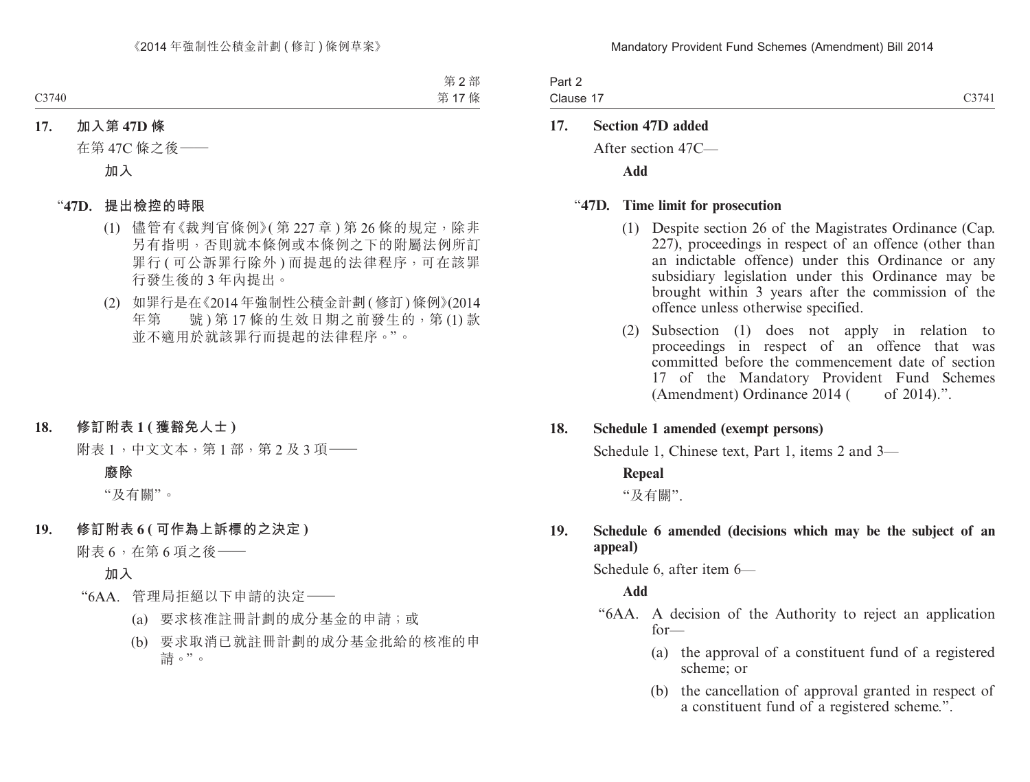Part 2 Clause 17 C3741

#### **17. Section 47D added**

After section 47C—

**Add**

#### "**47D. Time limit for prosecution**

- (1) Despite section 26 of the Magistrates Ordinance (Cap. 227), proceedings in respect of an offence (other than an indictable offence) under this Ordinance or any subsidiary legislation under this Ordinance may be brought within 3 years after the commission of the offence unless otherwise specified.
- (2) Subsection (1) does not apply in relation to proceedings in respect of an offence that was committed before the commencement date of section 17 of the Mandatory Provident Fund Schemes (Amendment) Ordinance  $2014$  ( of  $2014$ ).".

#### **18. Schedule 1 amended (exempt persons)**

Schedule 1, Chinese text, Part 1, items 2 and 3—

#### **Repeal**

"及有關".

#### **19. Schedule 6 amended (decisions which may be the subject of an appeal)**

Schedule 6, after item 6—

#### **Add**

- "6AA. A decision of the Authority to reject an application for—
	- (a) the approval of a constituent fund of a registered scheme; or
	- (b) the cancellation of approval granted in respect of a constituent fund of a registered scheme.".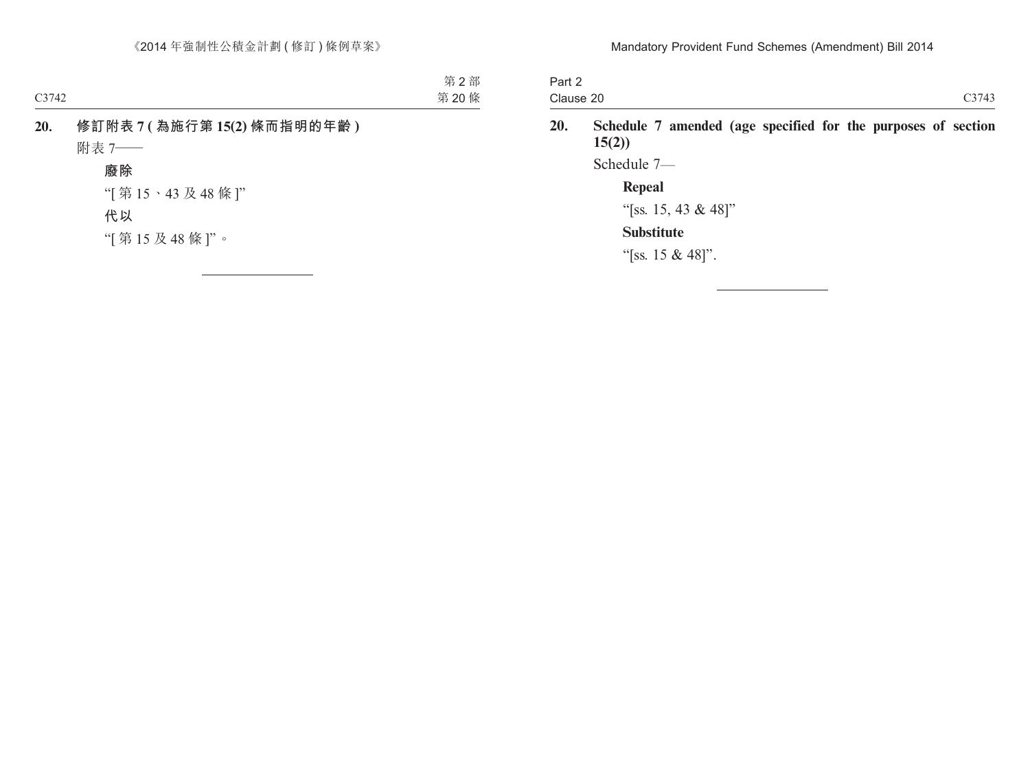| Part 2    |       |
|-----------|-------|
| Clause 20 | C3743 |

**20. Schedule 7 amended (age specified for the purposes of section 15(2))**

Schedule 7—

## **Repeal**

"[ss. 15, 43 & 48]"

## **Substitute**

"[ss. 15 & 48]".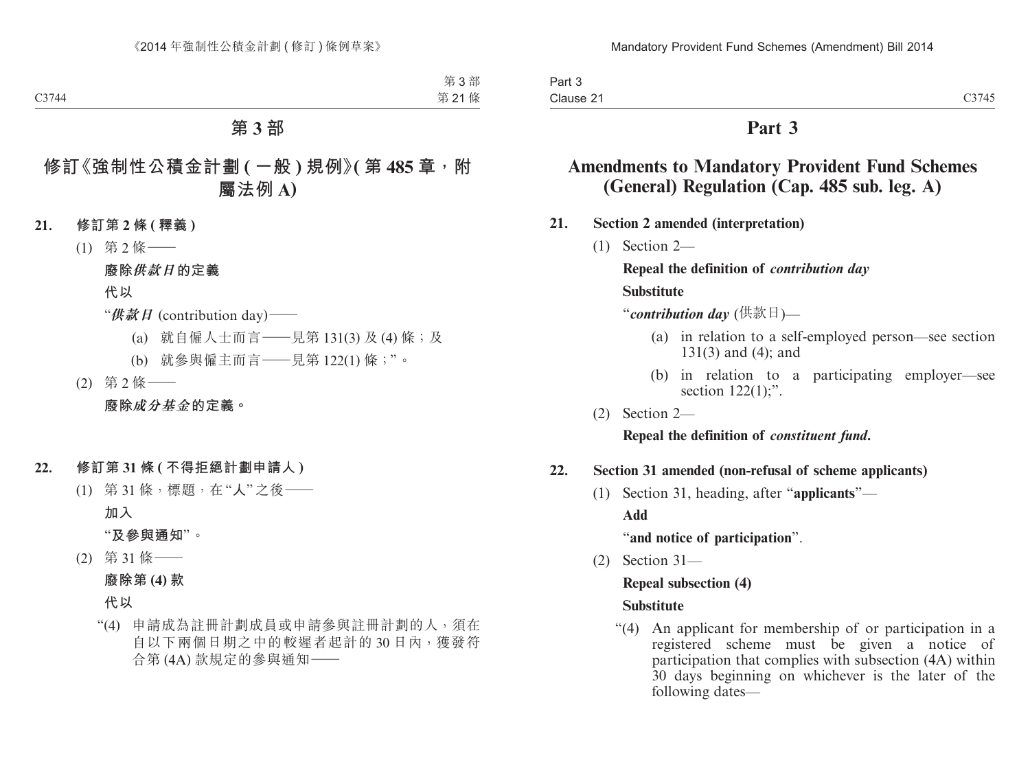# **Part 3**

# **Amendments to Mandatory Provident Fund Schemes (General) Regulation (Cap. 485 sub. leg. A)**

- **21. Section 2 amended (interpretation)**
	- (1) Section 2—

**Repeal the definition of** *contribution day* **Substitute**

"*contribution day* (供款日)—

- (a) in relation to a self-employed person—see section 131(3) and (4); and
- (b) in relation to a participating employer—see section  $122(1)$ ;".
- (2) Section 2—

**Repeal the definition of** *constituent fund***.**

## **22. Section 31 amended (non-refusal of scheme applicants)**

(1) Section 31, heading, after "**applicants**"—

**Add**

"**and notice of participation**".

(2) Section 31—

## **Repeal subsection (4)**

## **Substitute**

"(4) An applicant for membership of or participation in a registered scheme must be given a notice of participation that complies with subsection (4A) within 30 days beginning on whichever is the later of the following dates—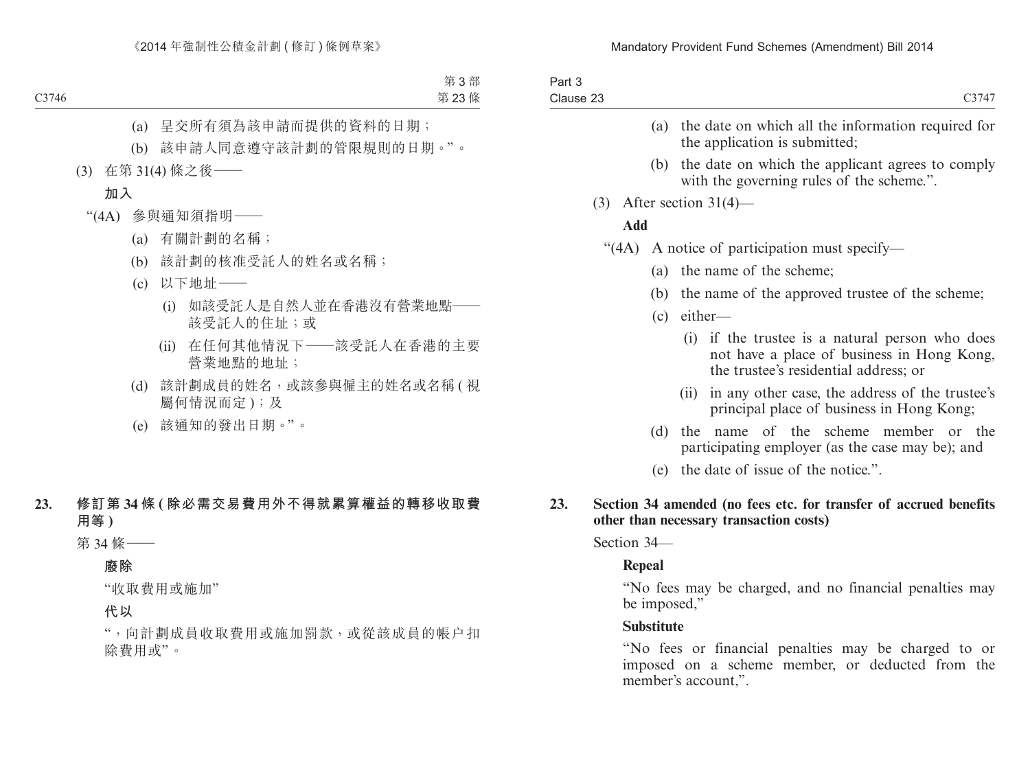| Part 3    |       |
|-----------|-------|
| Clause 23 | C3747 |
|           |       |

- (a) the date on which all the information required for the application is submitted;
- (b) the date on which the applicant agrees to comply with the governing rules of the scheme.".
- (3) After section 31(4)—

#### **Add**

- "(4A) A notice of participation must specify—
	- (a) the name of the scheme;
	- (b) the name of the approved trustee of the scheme;
	- (c) either—
		- (i) if the trustee is a natural person who does not have a place of business in Hong Kong, the trustee's residential address; or
		- (ii) in any other case, the address of the trustee's principal place of business in Hong Kong;
	- (d) the name of the scheme member or the participating employer (as the case may be); and
	- (e) the date of issue of the notice.".
- **23. Section 34 amended (no fees etc. for transfer of accrued benefits other than necessary transaction costs)**

Section 34—

## **Repeal**

"No fees may be charged, and no financial penalties may be imposed,"

## **Substitute**

"No fees or financial penalties may be charged to or imposed on a scheme member, or deducted from the member's account,".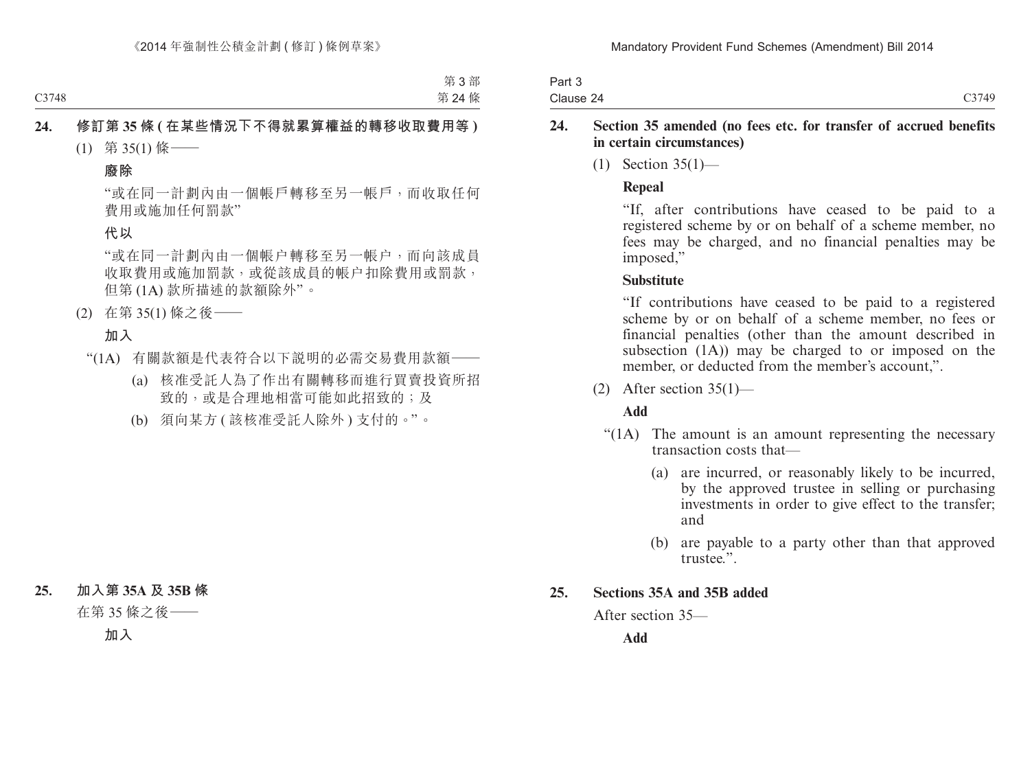| Part 3    |       |
|-----------|-------|
| Clause 24 | C3749 |

### **24. Section 35 amended (no fees etc. for transfer of accrued benefits in certain circumstances)**

(1) Section 35(1)—

## **Repeal**

"If, after contributions have ceased to be paid to a registered scheme by or on behalf of a scheme member, no fees may be charged, and no financial penalties may be imposed,"

#### **Substitute**

"If contributions have ceased to be paid to a registered scheme by or on behalf of a scheme member, no fees or financial penalties (other than the amount described in subsection (1A)) may be charged to or imposed on the member, or deducted from the member's account,".

 $(2)$  After section 35(1)—

## **Add**

- "(1A) The amount is an amount representing the necessary transaction costs that—
	- (a) are incurred, or reasonably likely to be incurred, by the approved trustee in selling or purchasing investments in order to give effect to the transfer; and
	- (b) are payable to a party other than that approved trustee."

## **25. Sections 35A and 35B added**

After section 35—

**Add**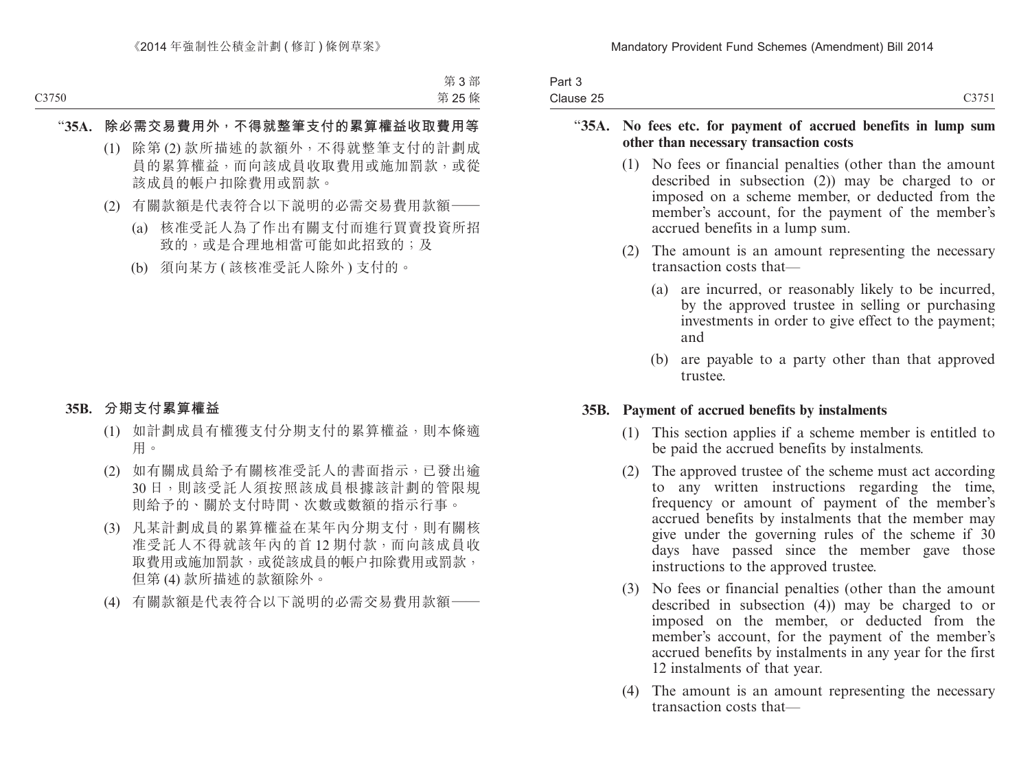| Part 3    |       |
|-----------|-------|
| Clause 25 | C3751 |

#### "**35A. No fees etc. for payment of accrued benefits in lump sum other than necessary transaction costs**

- (1) No fees or financial penalties (other than the amount described in subsection (2)) may be charged to or imposed on a scheme member, or deducted from the member's account, for the payment of the member's accrued benefits in a lump sum.
- (2) The amount is an amount representing the necessary transaction costs that—
	- (a) are incurred, or reasonably likely to be incurred, by the approved trustee in selling or purchasing investments in order to give effect to the payment; and
	- (b) are payable to a party other than that approved trustee.

#### **35B. Payment of accrued benefits by instalments**

- (1) This section applies if a scheme member is entitled to be paid the accrued benefits by instalments.
- (2) The approved trustee of the scheme must act according to any written instructions regarding the time, frequency or amount of payment of the member's accrued benefits by instalments that the member may give under the governing rules of the scheme if 30 days have passed since the member gave those instructions to the approved trustee.
- (3) No fees or financial penalties (other than the amount described in subsection (4)) may be charged to or imposed on the member, or deducted from the member's account, for the payment of the member's accrued benefits by instalments in any year for the first 12 instalments of that year.
- (4) The amount is an amount representing the necessary transaction costs that—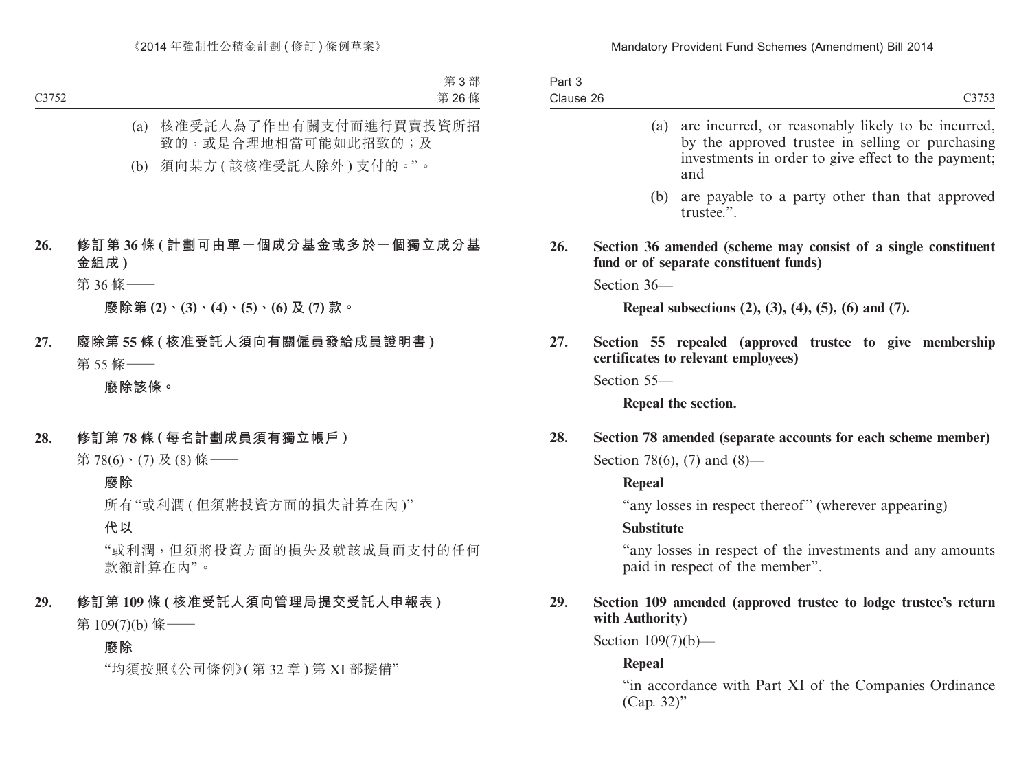| Part 3    |  |
|-----------|--|
| Clause 26 |  |

(a) are incurred, or reasonably likely to be incurred, by the approved trustee in selling or purchasing investments in order to give effect to the payment; and (b) are payable to a party other than that approved trustee.". **26. Section 36 amended (scheme may consist of a single constituent fund or of separate constituent funds)**

Section 36—

**Repeal subsections (2), (3), (4), (5), (6) and (7).**

**27. Section 55 repealed (approved trustee to give membership certificates to relevant employees)**

Section 55—

**Repeal the section.**

**28. Section 78 amended (separate accounts for each scheme member)** Section 78(6), (7) and (8)—

**Repeal**

"any losses in respect thereof" (wherever appearing)

## **Substitute**

"any losses in respect of the investments and any amounts paid in respect of the member".

## **29. Section 109 amended (approved trustee to lodge trustee's return with Authority)**

Section 109(7)(b)—

# **Repeal**

"in accordance with Part XI of the Companies Ordinance (Cap. 32)"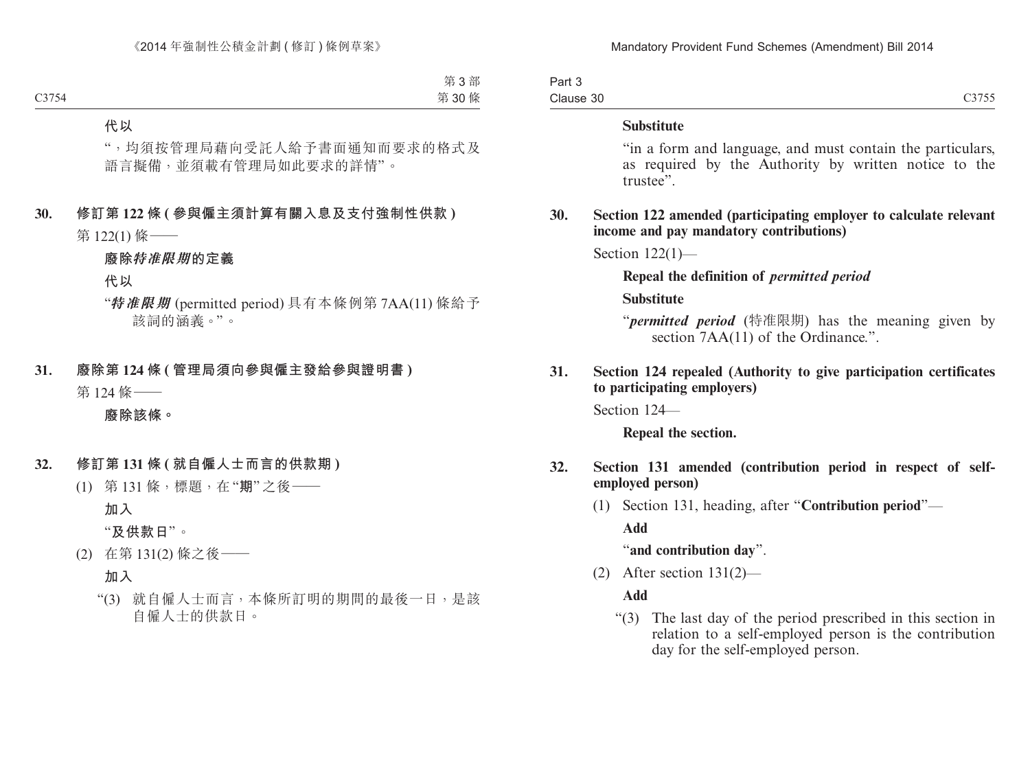| Part 3    |       |
|-----------|-------|
| Clause 30 | C3755 |

#### **Substitute**

"in a form and language, and must contain the particulars, as required by the Authority by written notice to the trustee".

#### **30. Section 122 amended (participating employer to calculate relevant income and pay mandatory contributions)**

Section 122(1)—

#### **Repeal the definition of** *permitted period*

#### **Substitute**

"*permitted period* (特准限期) has the meaning given by section  $7AA(11)$  of the Ordinance.".

## **31. Section 124 repealed (Authority to give participation certificates to participating employers)**

Section 124—

**Repeal the section.**

- **32. Section 131 amended (contribution period in respect of selfemployed person)**
	- (1) Section 131, heading, after "**Contribution period**"—

**Add**

"**and contribution day**".

(2) After section 131(2)—

## **Add**

"(3) The last day of the period prescribed in this section in relation to a self-employed person is the contribution day for the self-employed person.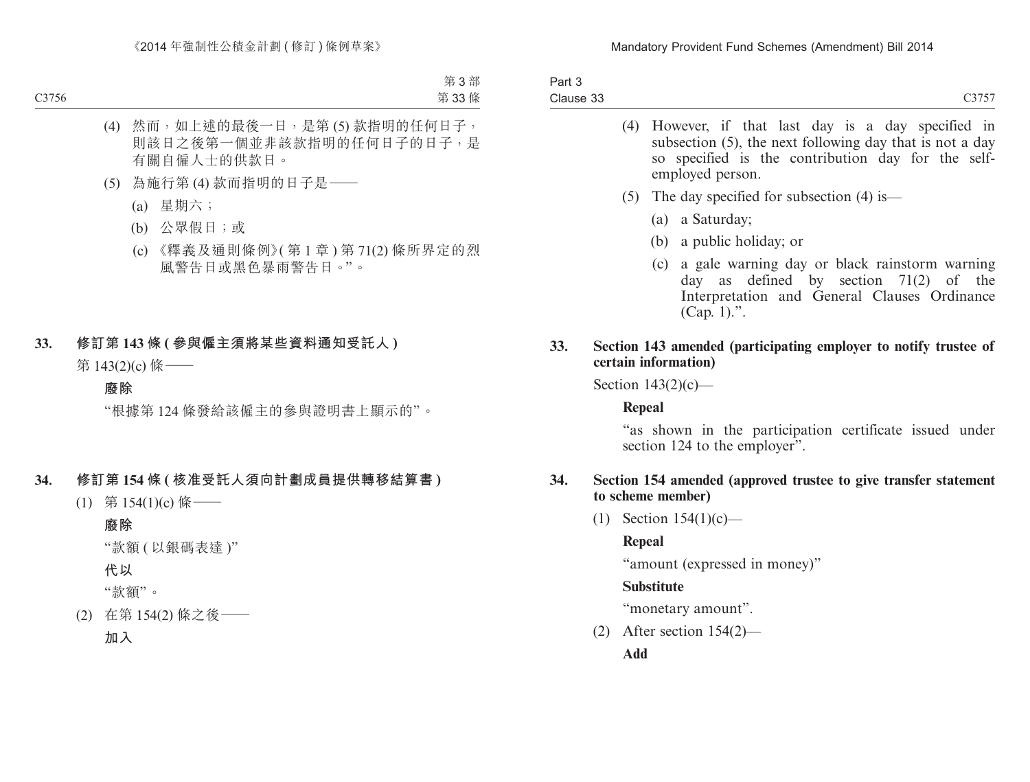| Part 3    |  |
|-----------|--|
| Clause 33 |  |

| (4) However, if that last day is a day specified in<br>subsection (5), the next following day that is not a day<br>so specified is the contribution day for the self-<br>employed person. |
|-------------------------------------------------------------------------------------------------------------------------------------------------------------------------------------------|
| (5) The day specified for subsection (4) is —                                                                                                                                             |
| (a) a Saturday;                                                                                                                                                                           |
| (b) a public holiday; or                                                                                                                                                                  |
| (c) a gale warning day or black rainstorm warning<br>day as defined by section $71(2)$ of the<br>Interpretation and General Clauses Ordinance<br>(Cap. 1).".                              |

#### **33. Section 143 amended (participating employer to notify trustee of certain information)**

Section 143(2)(c)—

## **Repeal**

"as shown in the participation certificate issued under section 124 to the employer".

#### **34. Section 154 amended (approved trustee to give transfer statement to scheme member)**

(1) Section 154(1)(c)—

## **Repeal**

"amount (expressed in money)"

## **Substitute**

"monetary amount".

(2) After section 154(2)—

**Add**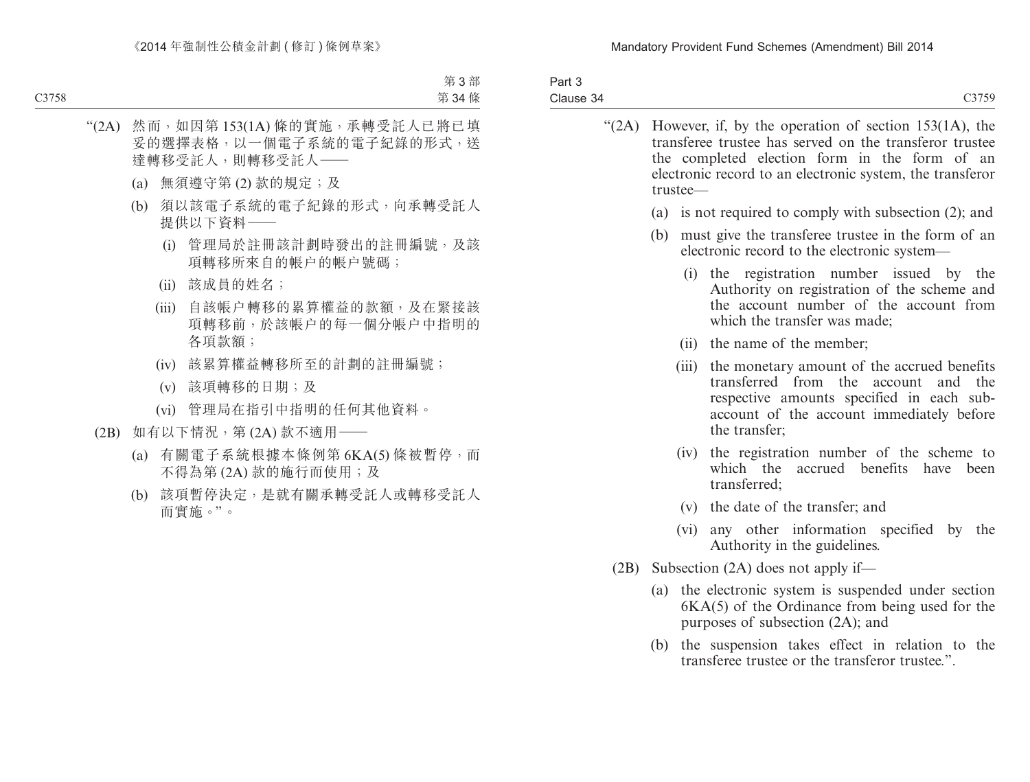| Part 3    |       |
|-----------|-------|
| Clause 34 | C3750 |
|           |       |

| "(2A) However, if, by the operation of section $153(1A)$ , the<br>transferee trustee has served on the transferor trustee<br>the completed election form in the form of an<br>electronic record to an electronic system, the transferor<br>trustee- |                                                                                                                                                                                                      |  |
|-----------------------------------------------------------------------------------------------------------------------------------------------------------------------------------------------------------------------------------------------------|------------------------------------------------------------------------------------------------------------------------------------------------------------------------------------------------------|--|
| (a)                                                                                                                                                                                                                                                 | is not required to comply with subsection (2); and                                                                                                                                                   |  |
| (b)                                                                                                                                                                                                                                                 | must give the transferee trustee in the form of an<br>electronic record to the electronic system—                                                                                                    |  |
|                                                                                                                                                                                                                                                     | (i) the registration number issued by the<br>Authority on registration of the scheme and<br>the account number of the account from<br>which the transfer was made;                                   |  |
|                                                                                                                                                                                                                                                     | (ii) the name of the member;                                                                                                                                                                         |  |
|                                                                                                                                                                                                                                                     | (iii) the monetary amount of the accrued benefits<br>transferred from the account and the<br>respective amounts specified in each sub-<br>account of the account immediately before<br>the transfer; |  |
| (iv)                                                                                                                                                                                                                                                | the registration number of the scheme to<br>which the accrued benefits have<br>been<br>transferred;                                                                                                  |  |
|                                                                                                                                                                                                                                                     | (v) the date of the transfer; and                                                                                                                                                                    |  |
| (vi)                                                                                                                                                                                                                                                | any other information specified by the<br>Authority in the guidelines.                                                                                                                               |  |

- (2B) Subsection (2A) does not apply if—
	- (a) the electronic system is suspended under section 6KA(5) of the Ordinance from being used for the purposes of subsection (2A); and
	- (b) the suspension takes effect in relation to the transferee trustee or the transferor trustee.".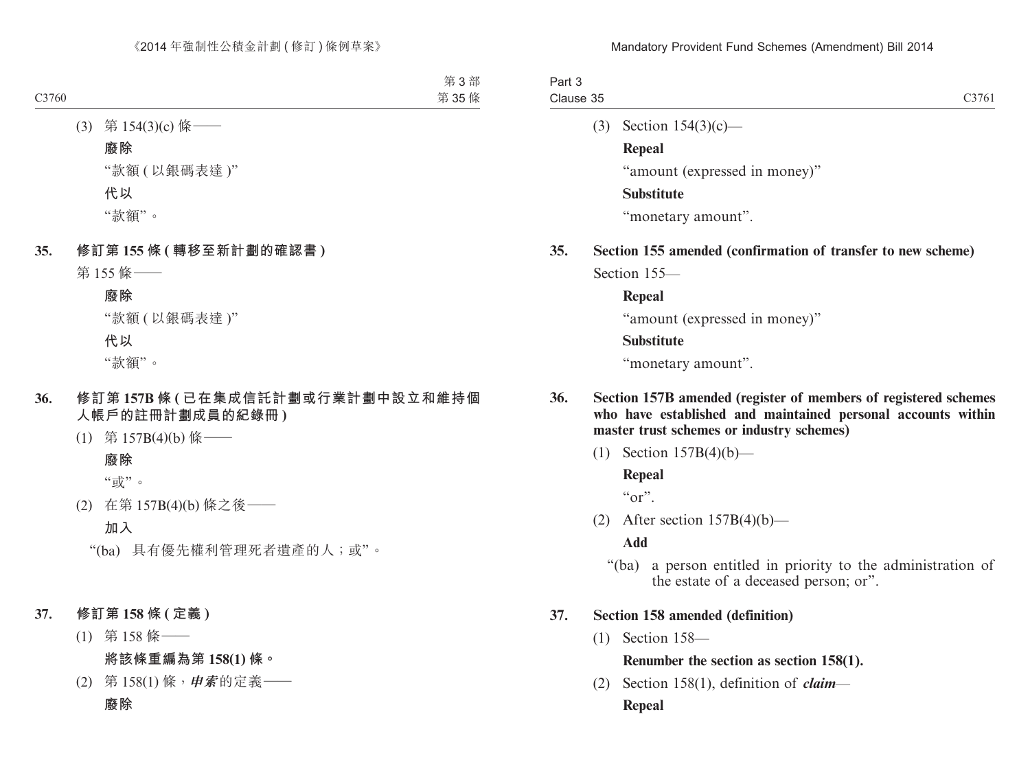| Part 3    |                   |
|-----------|-------------------|
| Clause 35 | C <sub>3761</sub> |
|           |                   |

(3) Section 154(3)(c)—

**Repeal**

"amount (expressed in money)"

## **Substitute**

"monetary amount".

**35. Section 155 amended (confirmation of transfer to new scheme)** Section 155—

**Repeal**

"amount (expressed in money)"

## **Substitute**

"monetary amount".

- **36. Section 157B amended (register of members of registered schemes who have established and maintained personal accounts within master trust schemes or industry schemes)**
	- (1) Section 157B(4)(b)—

## **Repeal**

 $\mathfrak{c}$  or".

(2) After section  $157B(4)(b)$ —

## **Add**

"(ba) a person entitled in priority to the administration of the estate of a deceased person; or".

# **37. Section 158 amended (definition)**

(1) Section 158—

# **Renumber the section as section 158(1).**

(2) Section 158(1), definition of *claim*— **Repeal**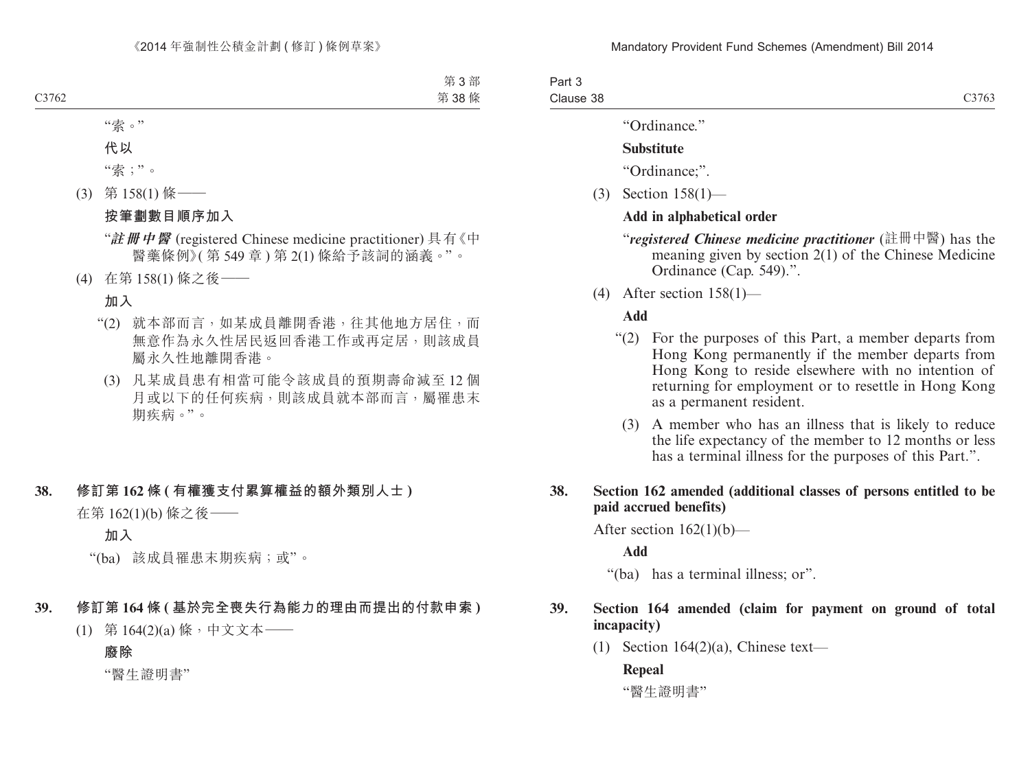Part 3 Clause 38

"Ordinance."

#### **Substitute**

"Ordinance;".

(3) Section 158(1)—

#### **Add in alphabetical order**

- "*registered Chinese medicine practitioner* (註冊中醫) has the meaning given by section 2(1) of the Chinese Medicine Ordinance (Cap. 549).".
- (4) After section 158(1)—

#### **Add**

- "(2) For the purposes of this Part, a member departs from Hong Kong permanently if the member departs from Hong Kong to reside elsewhere with no intention of returning for employment or to resettle in Hong Kong as a permanent resident.
	- (3) A member who has an illness that is likely to reduce the life expectancy of the member to 12 months or less has a terminal illness for the purposes of this Part.".

### **38. Section 162 amended (additional classes of persons entitled to be paid accrued benefits)**

After section  $162(1)(b)$ —

**Add**

"(ba) has a terminal illness; or".

#### **39. Section 164 amended (claim for payment on ground of total incapacity)**

(1) Section  $164(2)(a)$ , Chinese text—

**Repeal**

"醫生證明書"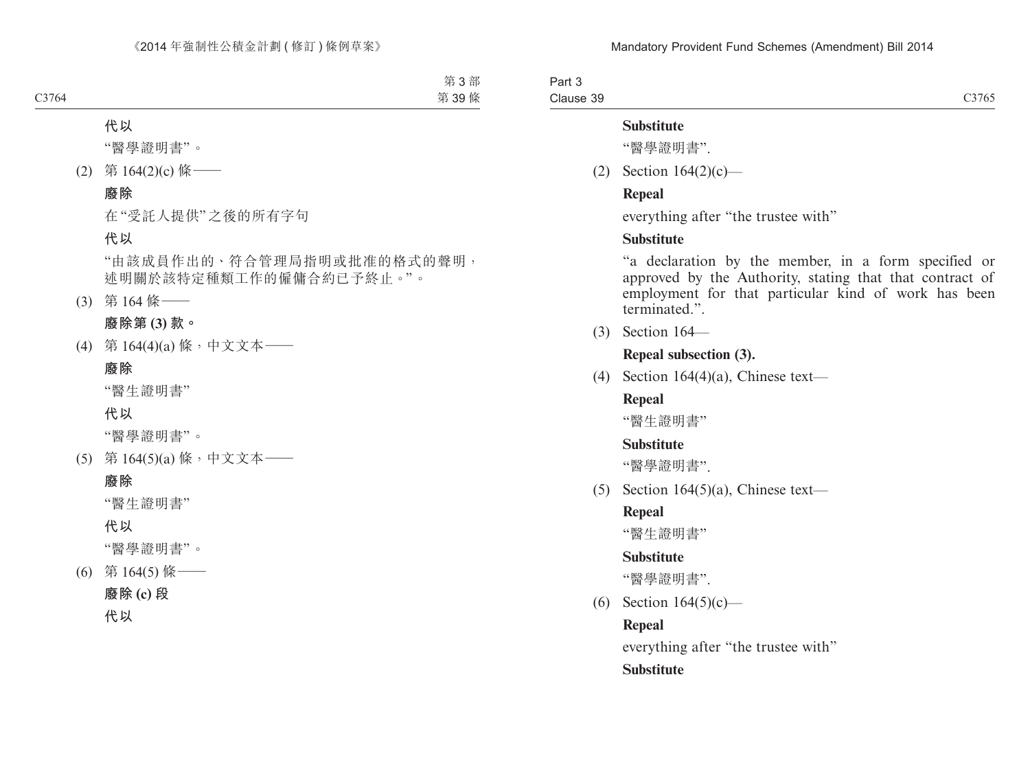Part 3 Clause 39

#### **Substitute**

"醫學證明書".

(2) Section 164(2)(c)—

#### **Repeal**

everything after "the trustee with"

## **Substitute**

"a declaration by the member, in a form specified or approved by the Authority, stating that that contract of employment for that particular kind of work has been terminated.".

(3) Section 164—

## **Repeal subsection (3).**

(4) Section 164(4)(a), Chinese text—

## **Repeal**

"醫生證明書"

## **Substitute**

"醫學證明書".

(5) Section 164(5)(a), Chinese text—

# **Repeal**

"醫生證明書"

## **Substitute**

"醫學證明書".

(6) Section 164(5)(c)—

## **Repeal**

everything after "the trustee with" **Substitute**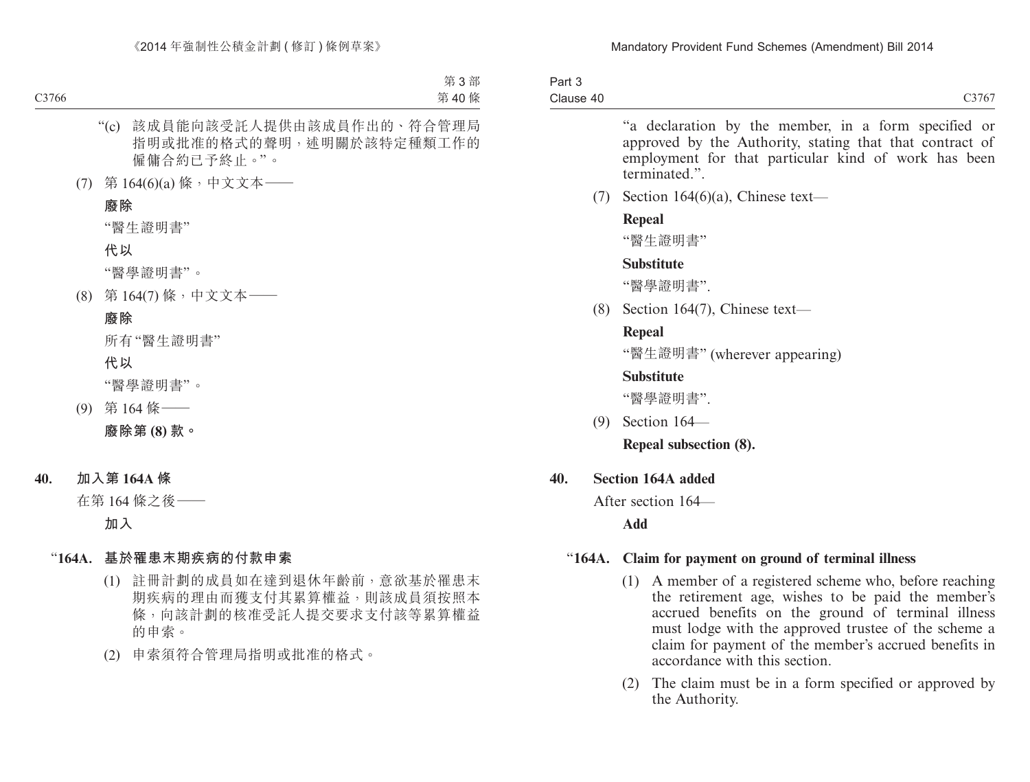| Part 3    |       |
|-----------|-------|
| Clause 40 | C3767 |

"a declaration by the member, in a form specified or approved by the Authority, stating that that contract of employment for that particular kind of work has been terminated."

(7) Section 164 $(6)(a)$ , Chinese text—

## **Repeal**

"醫生證明書"

## **Substitute**

"醫學證明書".

(8) Section 164(7), Chinese text—

## **Repeal**

"醫生證明書" (wherever appearing)

## **Substitute**

"醫學證明書".

(9) Section 164—

**Repeal subsection (8).**

# **40. Section 164A added**

After section 164—

**Add**

# "**164A. Claim for payment on ground of terminal illness**

- (1) A member of a registered scheme who, before reaching the retirement age, wishes to be paid the member's accrued benefits on the ground of terminal illness must lodge with the approved trustee of the scheme a claim for payment of the member's accrued benefits in accordance with this section.
- (2) The claim must be in a form specified or approved by the Authority.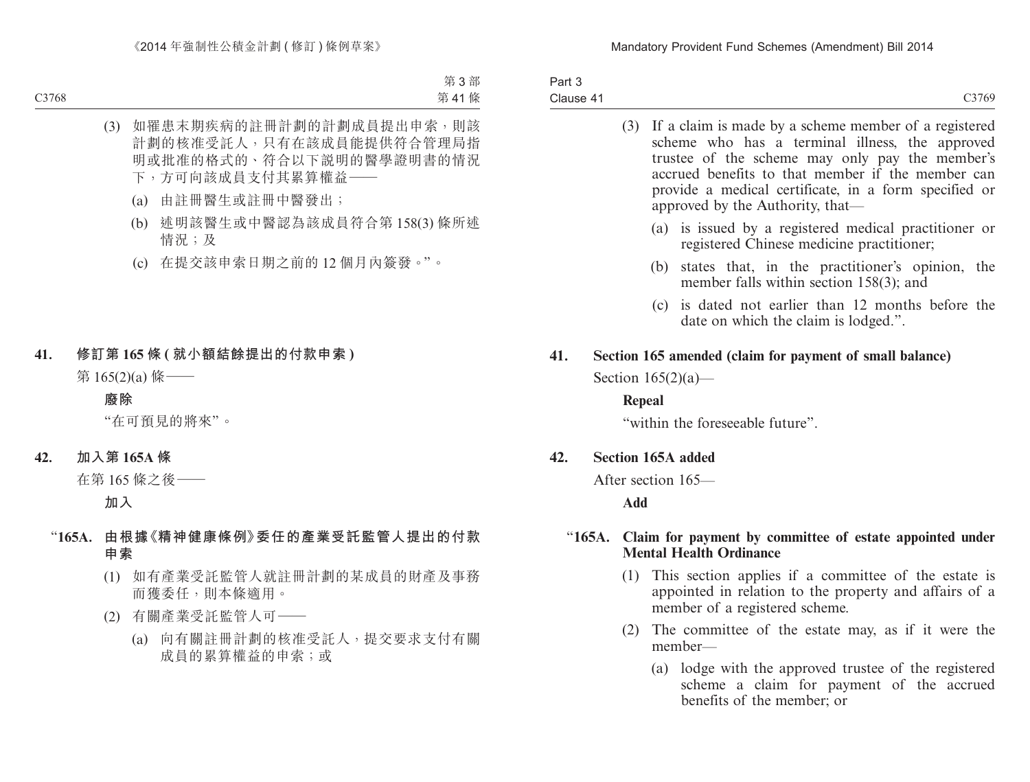| Part 3    |       |
|-----------|-------|
| Clause 41 | C3769 |

|     | (3) If a claim is made by a scheme member of a registered<br>scheme who has a terminal illness, the approved<br>trustee of the scheme may only pay the member's<br>accrued benefits to that member if the member can<br>provide a medical certificate, in a form specified or<br>approved by the Authority, that— |
|-----|-------------------------------------------------------------------------------------------------------------------------------------------------------------------------------------------------------------------------------------------------------------------------------------------------------------------|
|     | (a) is issued by a registered medical practitioner or<br>registered Chinese medicine practitioner;                                                                                                                                                                                                                |
|     | states that, in the practitioner's opinion, the<br>(b)<br>member falls within section 158(3); and                                                                                                                                                                                                                 |
|     | (c) is dated not earlier than 12 months before the<br>date on which the claim is lodged.".                                                                                                                                                                                                                        |
| 41. | Section 165 amended (claim for payment of small balance)                                                                                                                                                                                                                                                          |
|     | Section $165(2)(a)$ —                                                                                                                                                                                                                                                                                             |
|     | Repeal                                                                                                                                                                                                                                                                                                            |
|     | "within the foreseeable future".                                                                                                                                                                                                                                                                                  |
| 42. | <b>Section 165A added</b>                                                                                                                                                                                                                                                                                         |
|     | After section 165—                                                                                                                                                                                                                                                                                                |
|     | Add                                                                                                                                                                                                                                                                                                               |
|     |                                                                                                                                                                                                                                                                                                                   |
|     | "165A. Claim for payment by committee of estate appointed under<br><b>Mental Health Ordinance</b>                                                                                                                                                                                                                 |
|     | $(1)$ This soction applies if a committee of the estate is                                                                                                                                                                                                                                                        |

- (1) This section applies if a committee of the estate is appointed in relation to the property and affairs of a member of a registered scheme.
- (2) The committee of the estate may, as if it were the member—
	- (a) lodge with the approved trustee of the registered scheme a claim for payment of the accrued benefits of the member; or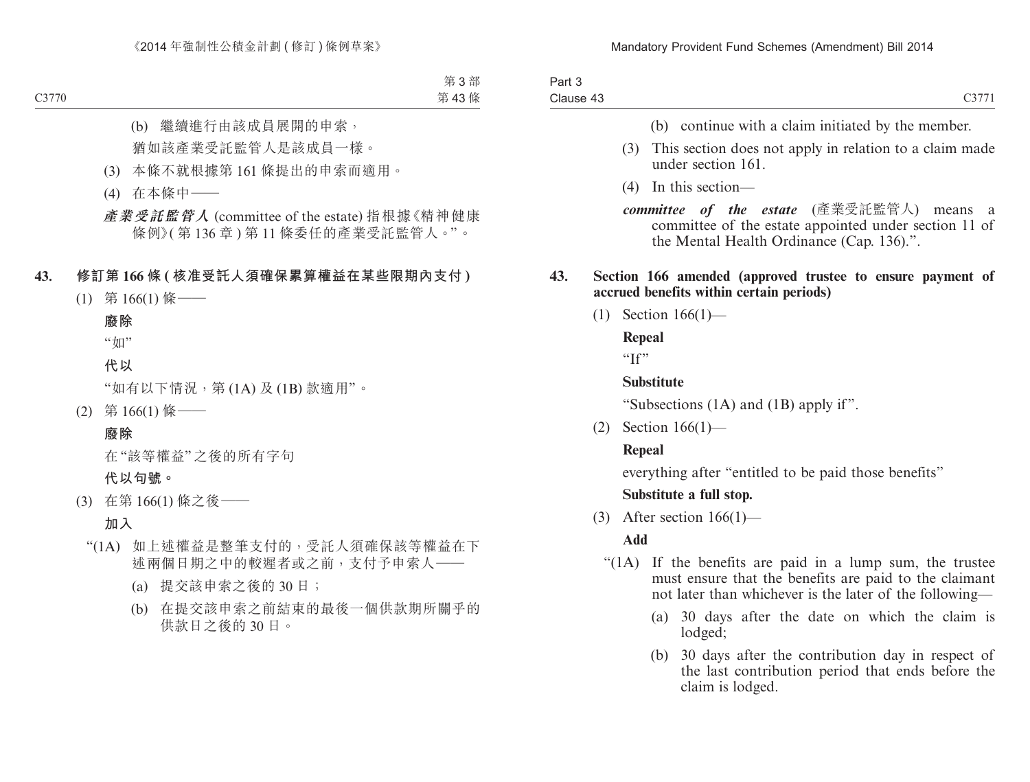| Part 3    |  |
|-----------|--|
| Clause 43 |  |

- (b) continue with a claim initiated by the member.
- (3) This section does not apply in relation to a claim made under section 161.
- (4) In this section—
- *committee of the estate* (產業受託監管人) means a committee of the estate appointed under section 11 of the Mental Health Ordinance (Cap. 136).".

#### **43. Section 166 amended (approved trustee to ensure payment of accrued benefits within certain periods)**

(1) Section 166(1)—

**Repeal**

"If"

#### **Substitute**

"Subsections (1A) and (1B) apply if".

(2) Section 166(1)—

## **Repeal**

everything after "entitled to be paid those benefits"

## **Substitute a full stop.**

(3) After section  $166(1)$ —

## **Add**

- "(1A) If the benefits are paid in a lump sum, the trustee must ensure that the benefits are paid to the claimant not later than whichever is the later of the following—
	- (a) 30 days after the date on which the claim is lodged;
	- (b) 30 days after the contribution day in respect of the last contribution period that ends before the claim is lodged.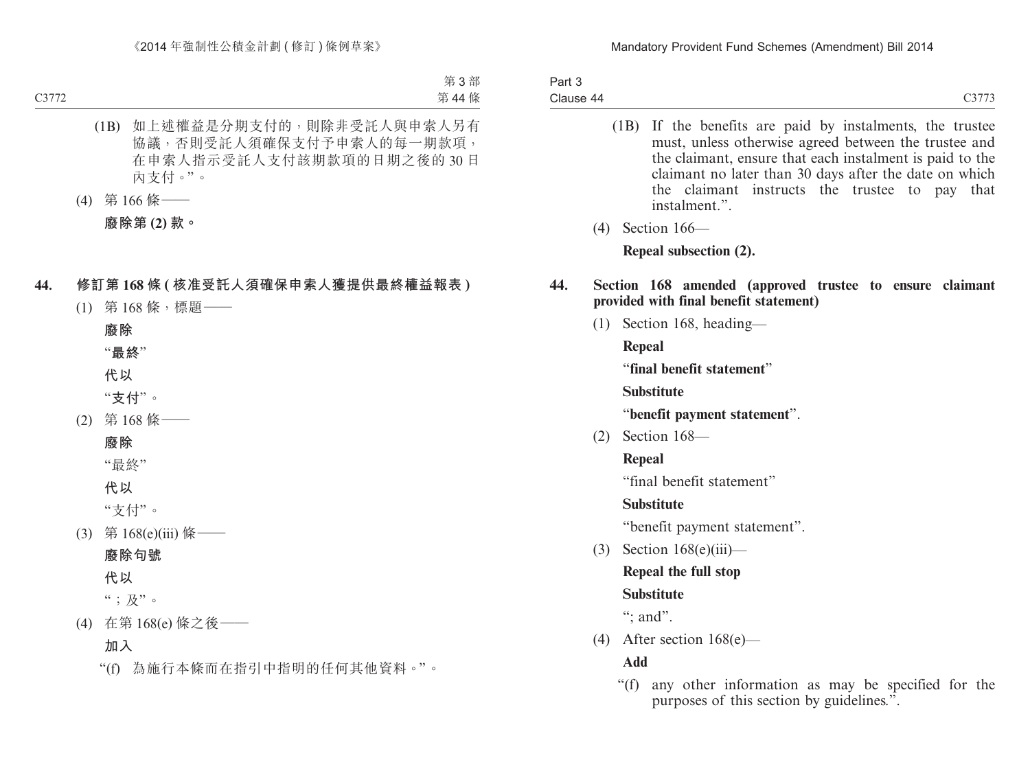Part 3 Clause 44

- C3773
- (1B) If the benefits are paid by instalments, the trustee must, unless otherwise agreed between the trustee and the claimant, ensure that each instalment is paid to the claimant no later than 30 days after the date on which the claimant instructs the trustee to pay that instalment."
- (4) Section 166—

**Repeal subsection (2).**

## **44. Section 168 amended (approved trustee to ensure claimant provided with final benefit statement)**

(1) Section 168, heading—

**Repeal**

"**final benefit statement**"

**Substitute**

"**benefit payment statement**".

(2) Section 168—

**Repeal**

"final benefit statement"

# **Substitute**

"benefit payment statement".

(3) Section  $168(e)$ (iii)—

# **Repeal the full stop**

# **Substitute**

": and".

(4) After section 168(e)—

**Add**

"(f) any other information as may be specified for the purposes of this section by guidelines.".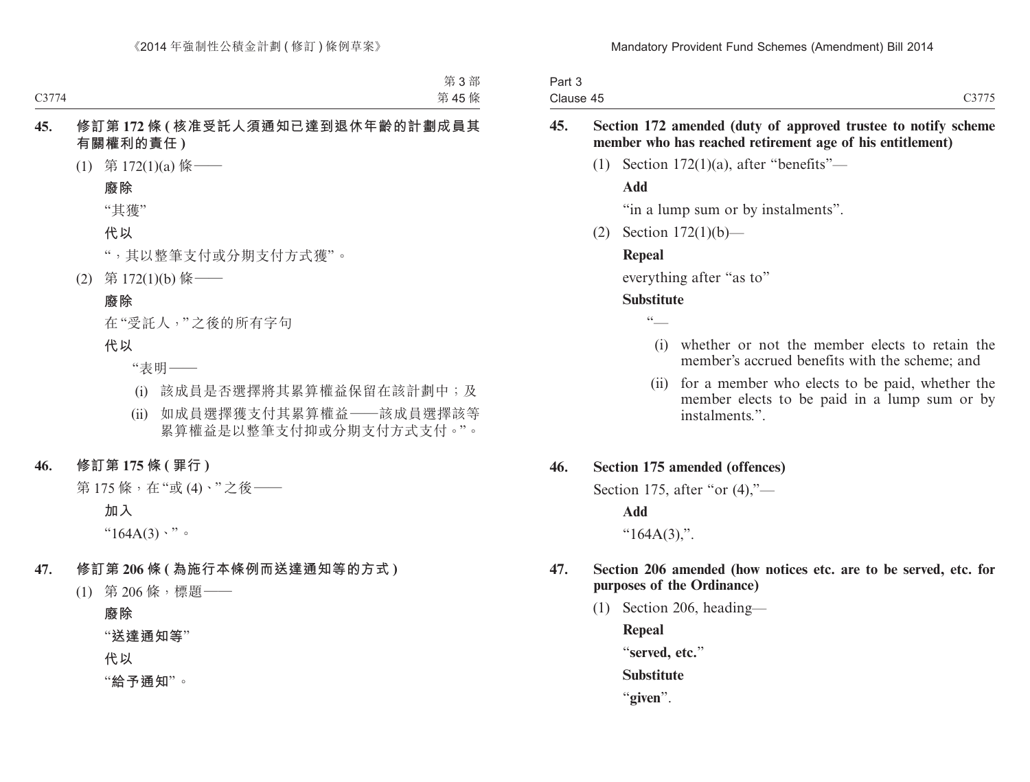| Part 3    |       |
|-----------|-------|
| Clause 45 | C3775 |

#### **45. Section 172 amended (duty of approved trustee to notify scheme member who has reached retirement age of his entitlement)**

(1) Section  $172(1)(a)$ , after "benefits"—

#### **Add**

"in a lump sum or by instalments".

(2) Section 172(1)(b)—

#### **Repeal**

everything after "as to"

#### **Substitute**

 $cc$ 

- (i) whether or not the member elects to retain the member's accrued benefits with the scheme; and
- (ii) for a member who elects to be paid, whether the member elects to be paid in a lump sum or by instalments.".

#### **46. Section 175 amended (offences)**

Section 175, after "or  $(4)$ ,"—

#### **Add**

" $164A(3)$ ,".

#### **47. Section 206 amended (how notices etc. are to be served, etc. for purposes of the Ordinance)**

(1) Section 206, heading—

**Repeal** "**served, etc.**"

**Substitute**

"**given**".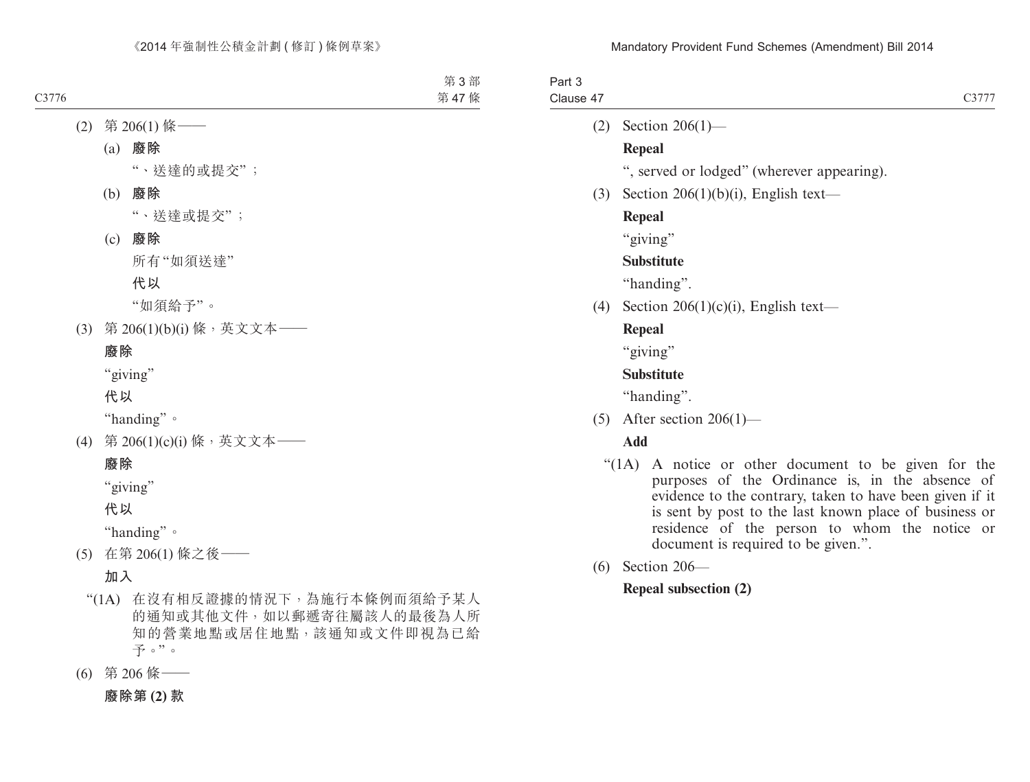| Part 3<br>Clause 47 | C3777                                                                                                                                                                                                                                                                                                                 |
|---------------------|-----------------------------------------------------------------------------------------------------------------------------------------------------------------------------------------------------------------------------------------------------------------------------------------------------------------------|
| (2)                 | Section $206(1)$ —                                                                                                                                                                                                                                                                                                    |
|                     | Repeal                                                                                                                                                                                                                                                                                                                |
|                     | ", served or lodged" (wherever appearing).                                                                                                                                                                                                                                                                            |
| (3)                 | Section 206(1)(b)(i), English text—                                                                                                                                                                                                                                                                                   |
|                     | <b>Repeal</b>                                                                                                                                                                                                                                                                                                         |
|                     | "giving"                                                                                                                                                                                                                                                                                                              |
|                     | <b>Substitute</b>                                                                                                                                                                                                                                                                                                     |
|                     | "handing".                                                                                                                                                                                                                                                                                                            |
| (4)                 | Section 206(1)(c)(i), English text—                                                                                                                                                                                                                                                                                   |
|                     | Repeal                                                                                                                                                                                                                                                                                                                |
|                     | "giving"                                                                                                                                                                                                                                                                                                              |
|                     | <b>Substitute</b>                                                                                                                                                                                                                                                                                                     |
|                     | "handing".                                                                                                                                                                                                                                                                                                            |
| (5)                 | After section $206(1)$ —                                                                                                                                                                                                                                                                                              |
|                     | Add                                                                                                                                                                                                                                                                                                                   |
|                     | "(1A) A notice or other document to be given for the<br>purposes of the Ordinance is, in the absence of<br>evidence to the contrary, taken to have been given if it<br>is sent by post to the last known place of business or<br>residence of the person to whom the notice or<br>document is required to be given.". |
| (6)                 | Section 206-                                                                                                                                                                                                                                                                                                          |

# **Repeal subsection (2)**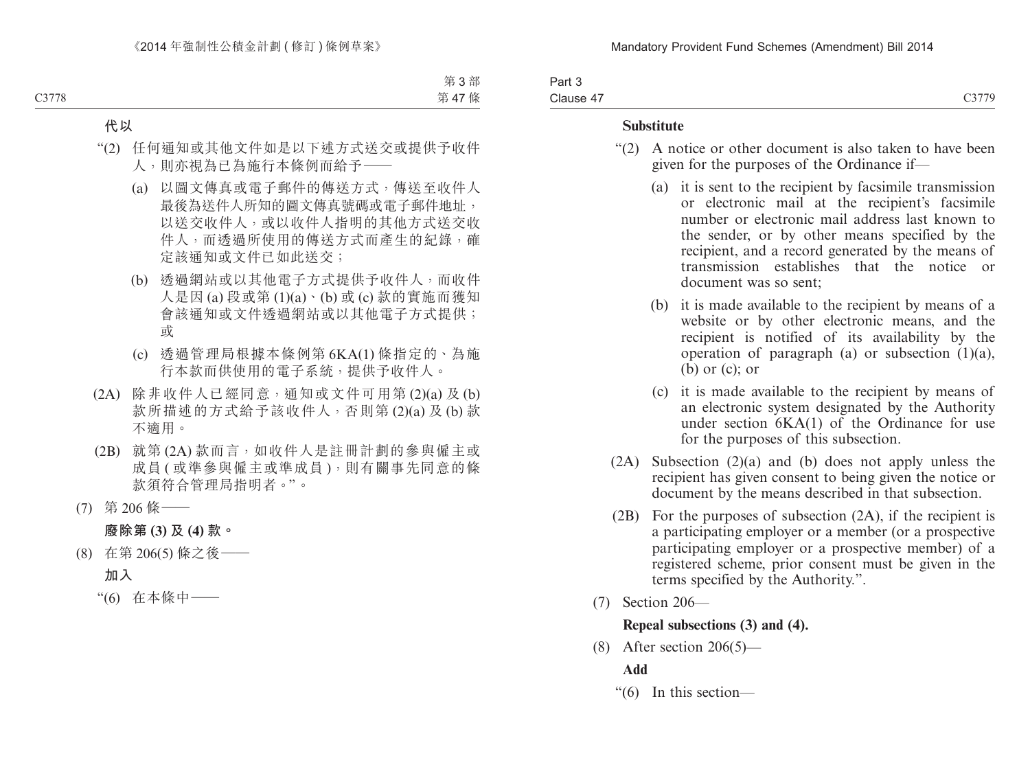Part 3 Clause 47 C3779

#### **Substitute**

- "(2) A notice or other document is also taken to have been given for the purposes of the Ordinance if—
	- (a) it is sent to the recipient by facsimile transmission or electronic mail at the recipient's facsimile number or electronic mail address last known to the sender, or by other means specified by the recipient, and a record generated by the means of transmission establishes that the notice or document was so sent;
	- (b) it is made available to the recipient by means of a website or by other electronic means, and the recipient is notified of its availability by the operation of paragraph (a) or subsection  $(1)(a)$ , (b) or (c); or
	- (c) it is made available to the recipient by means of an electronic system designated by the Authority under section 6KA(1) of the Ordinance for use for the purposes of this subsection.
- (2A) Subsection (2)(a) and (b) does not apply unless the recipient has given consent to being given the notice or document by the means described in that subsection.
- (2B) For the purposes of subsection (2A), if the recipient is a participating employer or a member (or a prospective participating employer or a prospective member) of a registered scheme, prior consent must be given in the terms specified by the Authority.".
- (7) Section 206—

#### **Repeal subsections (3) and (4).**

(8) After section  $206(5)$ —

## **Add**

"(6) In this section—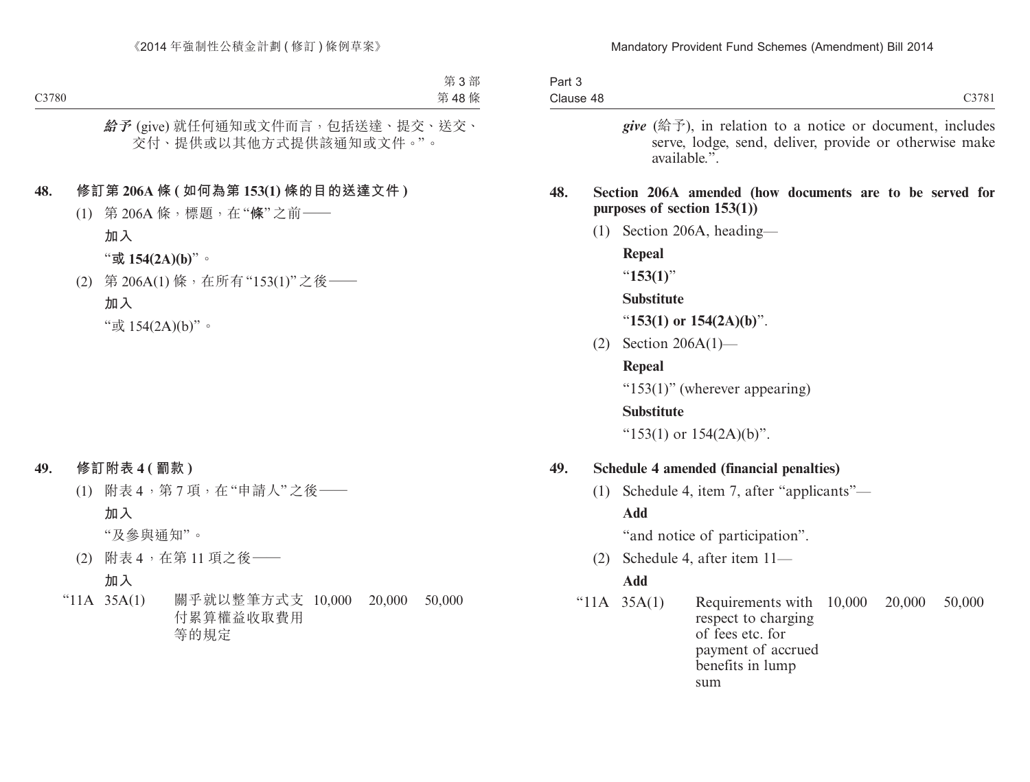| C3781                                                                                                                                       | Clause 48      | Part 3 |  |
|---------------------------------------------------------------------------------------------------------------------------------------------|----------------|--------|--|
| <i>give</i> (给予), in relation to a notice or document, includes<br>serve, lodge, send, deliver, provide or otherwise make<br>available.".   |                |        |  |
| Section 206A amended (how documents are to be served for<br>purposes of section $153(1)$ )                                                  |                | 48.    |  |
| Section 206A, heading-                                                                                                                      | (1)            |        |  |
| Repeal                                                                                                                                      |                |        |  |
| " $153(1)$ "                                                                                                                                |                |        |  |
| <b>Substitute</b>                                                                                                                           |                |        |  |
| "153(1) or $154(2A)(b)$ ".                                                                                                                  |                |        |  |
| Section $206A(1)$ —                                                                                                                         | (2)            |        |  |
| Repeal                                                                                                                                      |                |        |  |
| " $153(1)$ " (wherever appearing)                                                                                                           |                |        |  |
| <b>Substitute</b>                                                                                                                           |                |        |  |
| " $153(1)$ or $154(2A)(b)$ ".                                                                                                               |                |        |  |
| Schedule 4 amended (financial penalties)                                                                                                    |                | 49.    |  |
| Schedule 4, item 7, after "applicants"—                                                                                                     | (1)            |        |  |
|                                                                                                                                             | <b>Add</b>     |        |  |
| "and notice of participation".                                                                                                              |                |        |  |
| Schedule 4, after item 11-                                                                                                                  | (2)            |        |  |
|                                                                                                                                             |                |        |  |
| 20,000<br>Requirements with<br>10,000<br>50,000<br>respect to charging<br>of fees etc. for<br>payment of accrued<br>benefits in lump<br>sum | " $11A$ 35A(1) |        |  |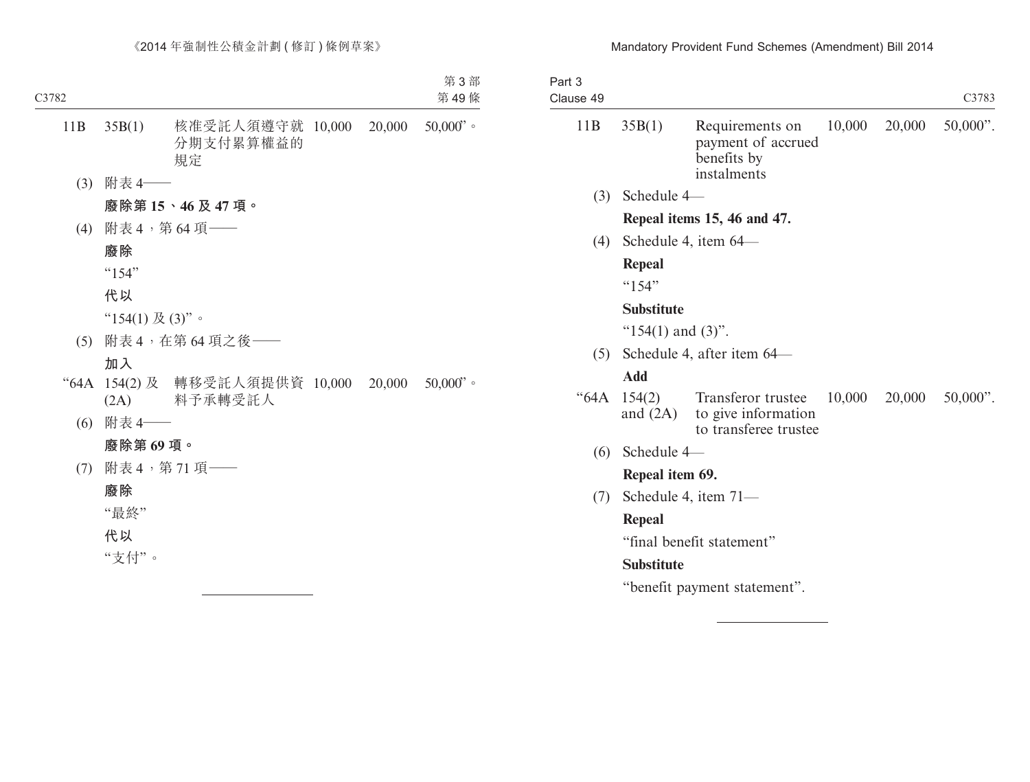## Mandatory Provident Fund Schemes (Amendment) Bill 2014

| Part 3<br>Clause 49 |                             |                                                                     |        |               | C3783       |
|---------------------|-----------------------------|---------------------------------------------------------------------|--------|---------------|-------------|
| 11B                 | 35B(1)                      | Requirements on<br>payment of accrued<br>benefits by<br>instalments |        | 10,000 20,000 | $50,000$ ". |
| (3)                 | Schedule 4-                 |                                                                     |        |               |             |
|                     | Repeal items 15, 46 and 47. |                                                                     |        |               |             |
| (4)                 |                             | Schedule 4, item 64–                                                |        |               |             |
|                     | Repeal                      |                                                                     |        |               |             |
|                     | $^{64}$ 154"                |                                                                     |        |               |             |
|                     | <b>Substitute</b>           |                                                                     |        |               |             |
|                     | " $154(1)$ and $(3)$ ".     |                                                                     |        |               |             |
| (5)                 |                             | Schedule 4, after item 64-                                          |        |               |             |
|                     | <b>Add</b>                  |                                                                     |        |               |             |
| "64A                | 154(2)<br>and $(2A)$        | Transferor trustee<br>to give information<br>to transferee trustee  | 10,000 | 20,000        | $50,000$ ". |
| (6)                 | Schedule 4-                 |                                                                     |        |               |             |
|                     | Repeal item 69.             |                                                                     |        |               |             |
| (7)                 |                             | Schedule 4, item $71-$                                              |        |               |             |
|                     | <b>Repeal</b>               |                                                                     |        |               |             |
|                     | "final benefit statement"   |                                                                     |        |               |             |
|                     | <b>Substitute</b>           |                                                                     |        |               |             |
|                     |                             | "benefit payment statement".                                        |        |               |             |
|                     |                             |                                                                     |        |               |             |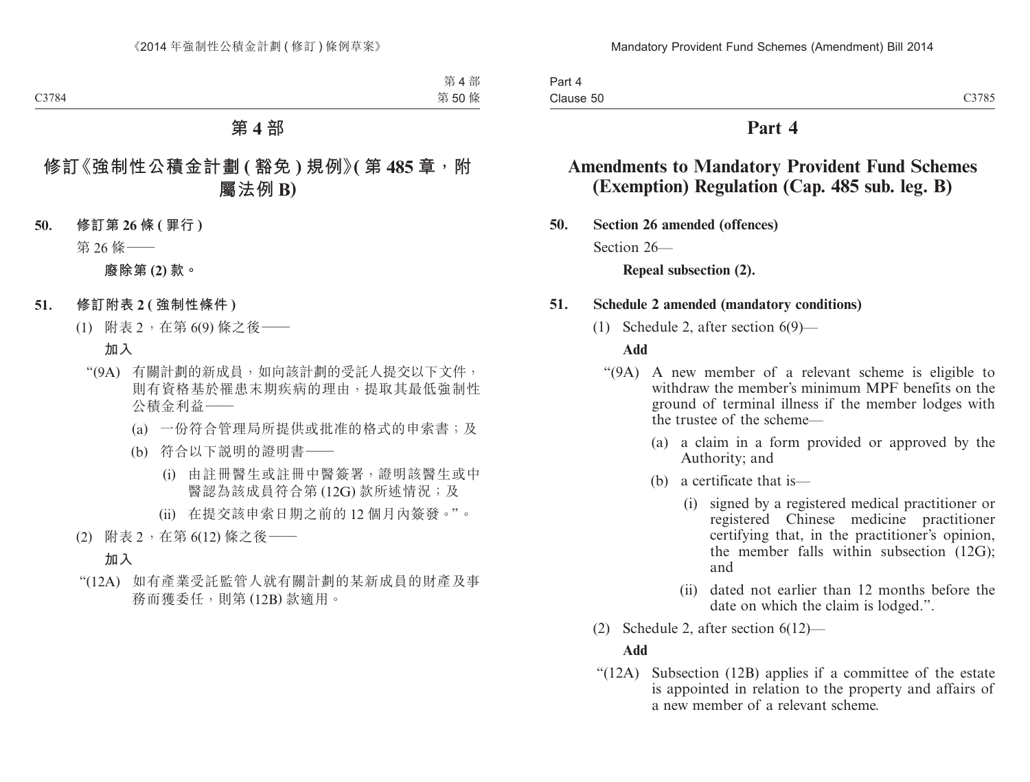# **Part 4**

# **Amendments to Mandatory Provident Fund Schemes (Exemption) Regulation (Cap. 485 sub. leg. B)**

**50. Section 26 amended (offences)**

Section 26—

**Repeal subsection (2).**

## **51. Schedule 2 amended (mandatory conditions)**

(1) Schedule 2, after section 6(9)—

## **Add**

- "(9A) A new member of a relevant scheme is eligible to withdraw the member's minimum MPF benefits on the ground of terminal illness if the member lodges with the trustee of the scheme—
	- (a) a claim in a form provided or approved by the Authority; and
	- (b) a certificate that is—
		- (i) signed by a registered medical practitioner or registered Chinese medicine practitioner certifying that, in the practitioner's opinion, the member falls within subsection (12G); and
		- (ii) dated not earlier than 12 months before the date on which the claim is lodged.".
- (2) Schedule 2, after section 6(12)—

## **Add**

"(12A) Subsection (12B) applies if a committee of the estate is appointed in relation to the property and affairs of a new member of a relevant scheme.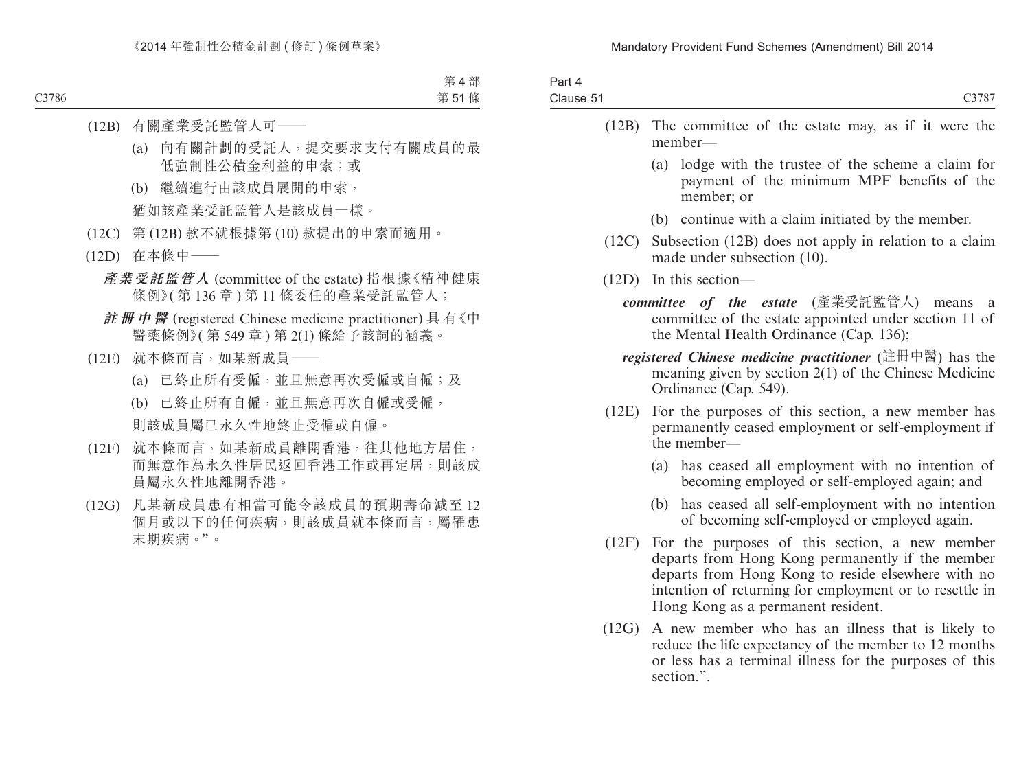| Part 4    |       |
|-----------|-------|
| Clause 51 | C3787 |

- (12B) The committee of the estate may, as if it were the member—
	- (a) lodge with the trustee of the scheme a claim for payment of the minimum MPF benefits of the member; or
	- (b) continue with a claim initiated by the member.
- (12C) Subsection (12B) does not apply in relation to a claim made under subsection (10).
- (12D) In this section
	- *committee of the estate* (產業受託監管人) means a committee of the estate appointed under section 11 of the Mental Health Ordinance (Cap. 136);
	- *registered Chinese medicine practitioner* (註冊中醫) has the meaning given by section 2(1) of the Chinese Medicine Ordinance (Cap. 549).
- (12E) For the purposes of this section, a new member has permanently ceased employment or self-employment if the member—
	- (a) has ceased all employment with no intention of becoming employed or self-employed again; and
	- (b) has ceased all self-employment with no intention of becoming self-employed or employed again.
- (12F) For the purposes of this section, a new member departs from Hong Kong permanently if the member departs from Hong Kong to reside elsewhere with no intention of returning for employment or to resettle in Hong Kong as a permanent resident.
- (12G) A new member who has an illness that is likely to reduce the life expectancy of the member to 12 months or less has a terminal illness for the purposes of this section.".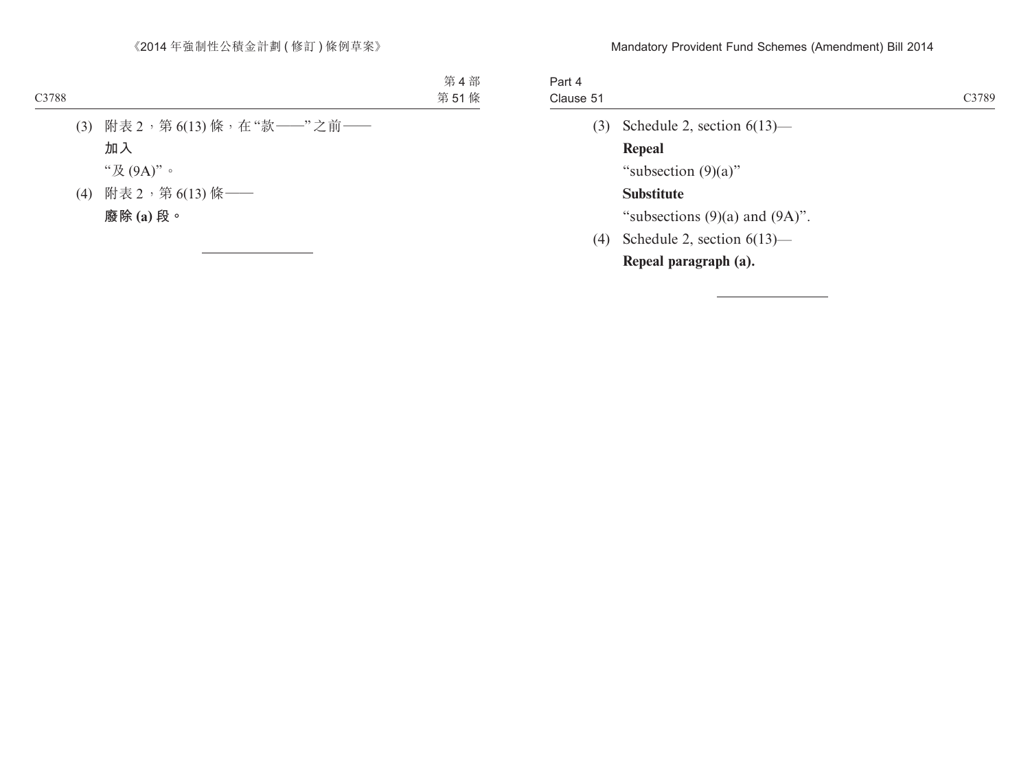| Part 4    |                                     |       |
|-----------|-------------------------------------|-------|
| Clause 51 |                                     | C3789 |
| (3)       | Schedule 2, section $6(13)$ —       |       |
|           | Repeal                              |       |
|           | "subsection $(9)(a)$ "              |       |
|           | <b>Substitute</b>                   |       |
|           | "subsections $(9)(a)$ and $(9A)$ ". |       |
| (4)       | Schedule 2, section $6(13)$ —       |       |
|           | Repeal paragraph (a).               |       |
|           |                                     |       |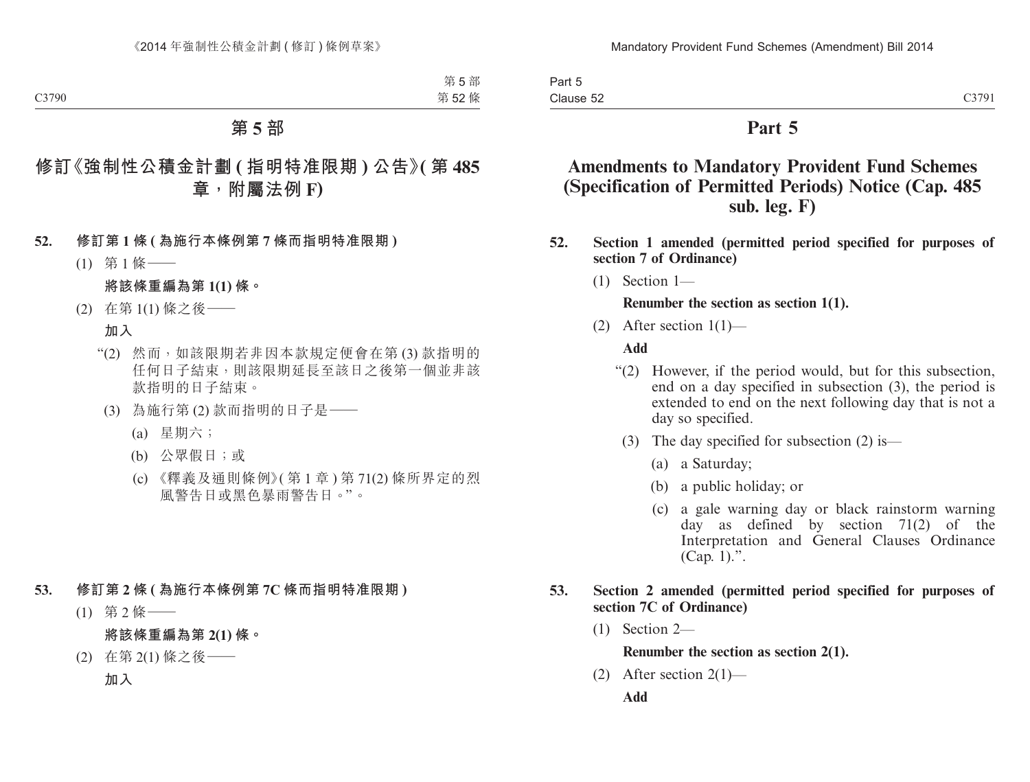Part 5 Clause 52

# **Part 5**

# **Amendments to Mandatory Provident Fund Schemes (Specification of Permitted Periods) Notice (Cap. 485 sub. leg. F)**

- **52. Section 1 amended (permitted period specified for purposes of section 7 of Ordinance)**
	- (1) Section 1—

#### **Renumber the section as section 1(1).**

(2) After section  $1(1)$ —

#### **Add**

- "(2) However, if the period would, but for this subsection, end on a day specified in subsection (3), the period is extended to end on the next following day that is not a day so specified.
	- (3) The day specified for subsection (2) is—
		- (a) a Saturday;
		- (b) a public holiday; or
		- (c) a gale warning day or black rainstorm warning day as defined by section 71(2) of the Interpretation and General Clauses Ordinance  $(Can, 1)$ .".

#### **53. Section 2 amended (permitted period specified for purposes of section 7C of Ordinance)**

(1) Section 2—

**Renumber the section as section 2(1).**

(2) After section  $2(1)$ —

**Add**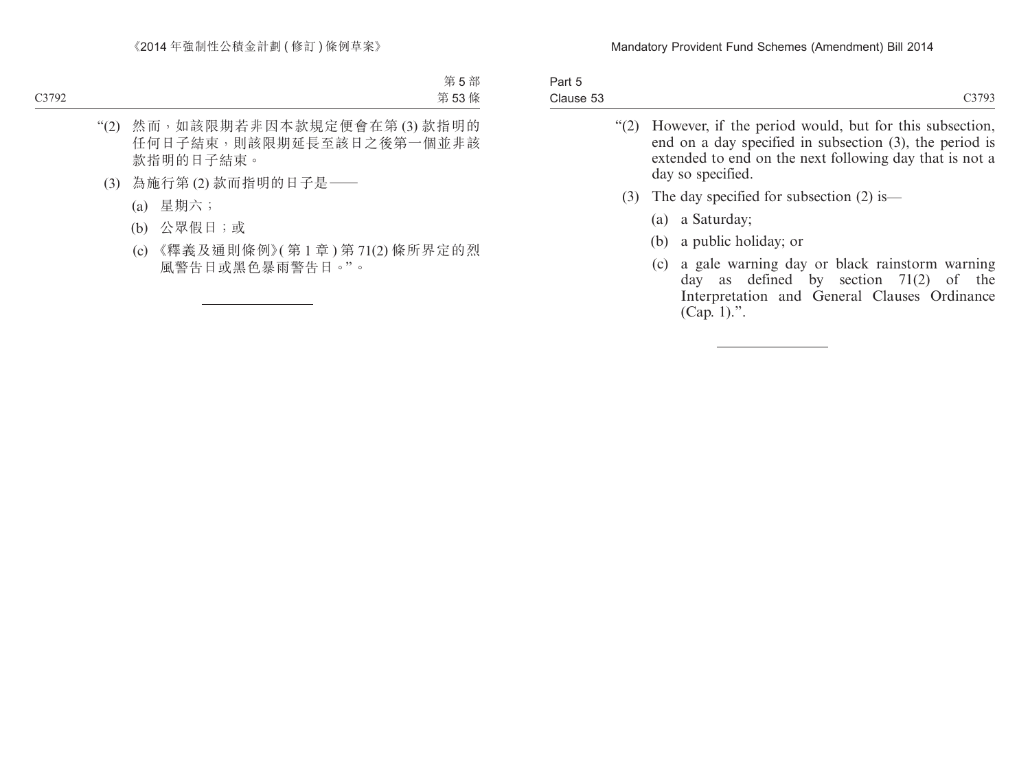| Part 5    |                                                             |
|-----------|-------------------------------------------------------------|
| Clause 53 | C3793                                                       |
|           | "(2) However, if the period would, but for this subsection, |

- end on a day specified in subsection (3), the period is extended to end on the next following day that is not a day so specified.
- (3) The day specified for subsection (2) is—
	- (a) a Saturday;
	- (b) a public holiday; or
	- (c) a gale warning day or black rainstorm warning day as defined by section 71(2) of the Interpretation and General Clauses Ordinance (Cap. 1).".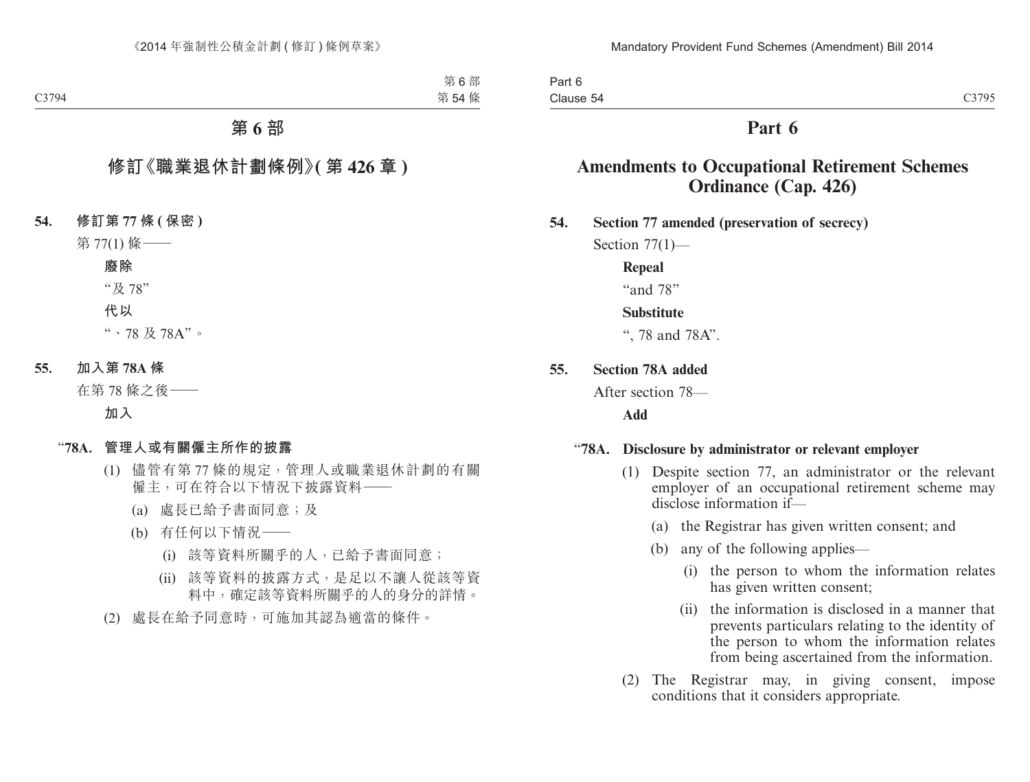Part 6 Clause 54

# **Part 6**

# **Amendments to Occupational Retirement Schemes Ordinance (Cap. 426)**

**54. Section 77 amended (preservation of secrecy)**

Section  $77(1)$ —

#### **Repeal**

"and 78"

#### **Substitute**

", 78 and 78A".

**55. Section 78A added**

After section 78—

**Add**

## "**78A. Disclosure by administrator or relevant employer**

- (1) Despite section 77, an administrator or the relevant employer of an occupational retirement scheme may disclose information if—
	- (a) the Registrar has given written consent; and
	- (b) any of the following applies—
		- (i) the person to whom the information relates has given written consent;
		- (ii) the information is disclosed in a manner that prevents particulars relating to the identity of the person to whom the information relates from being ascertained from the information.
- (2) The Registrar may, in giving consent, impose conditions that it considers appropriate.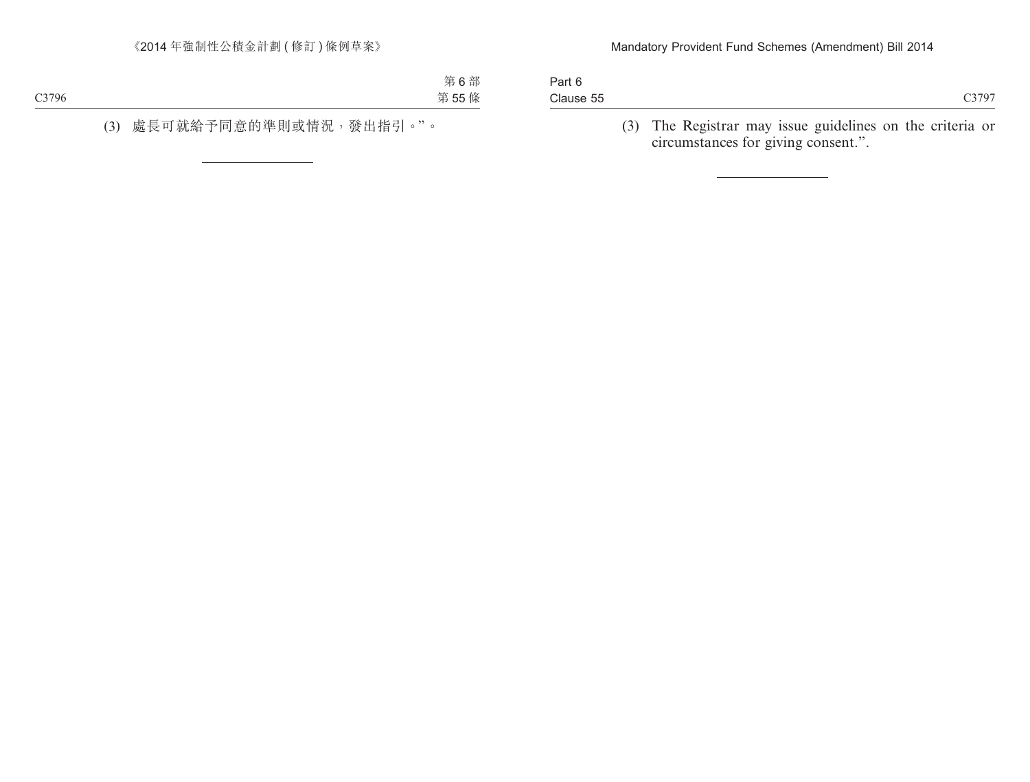| Clause 55 |  |
|-----------|--|
| Part 6    |  |

(3) The Registrar may issue guidelines on the criteria or circumstances for giving consent.".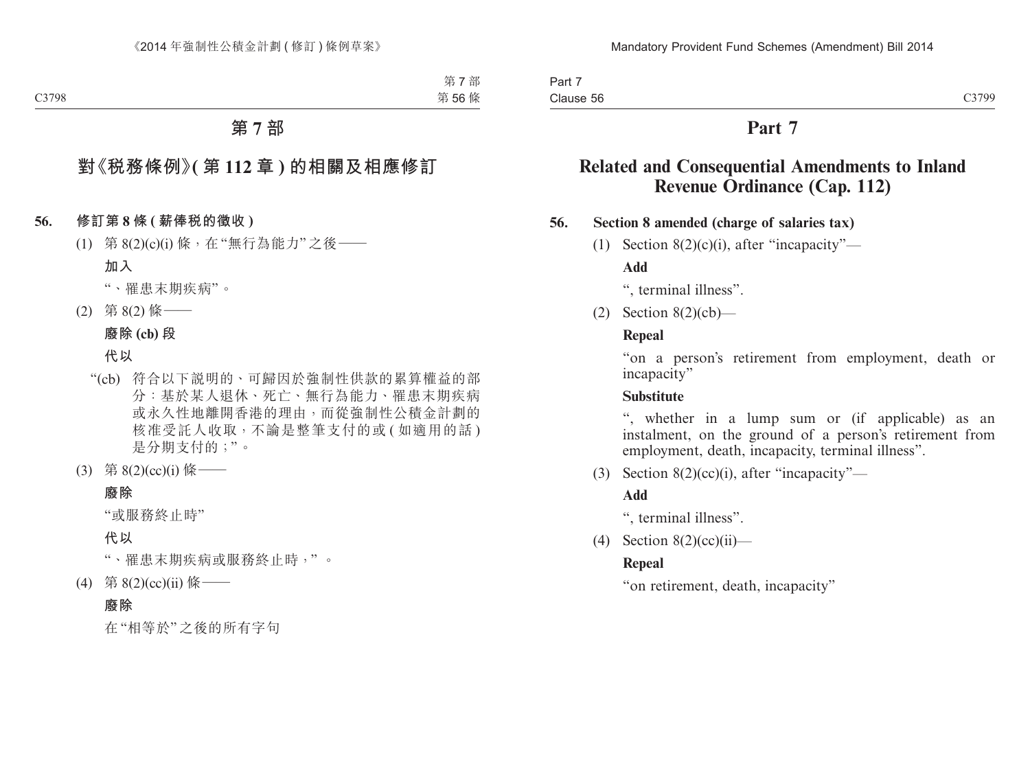# **Part 7**

# **Related and Consequential Amendments to Inland Revenue Ordinance (Cap. 112)**

## **56. Section 8 amended (charge of salaries tax)**

(1) Section  $8(2)(c)(i)$ , after "incapacity"—

**Add**

", terminal illness".

(2) Section 8(2)(cb)—

# **Repeal**

"on a person's retirement from employment, death or incapacity"

# **Substitute**

", whether in a lump sum or (if applicable) as an instalment, on the ground of a person's retirement from employment, death, incapacity, terminal illness".

(3) Section 8(2)(cc)(i), after "incapacity"—

# **Add**

", terminal illness".

(4) Section  $8(2)(cc)(ii)$ —

# **Repeal**

"on retirement, death, incapacity"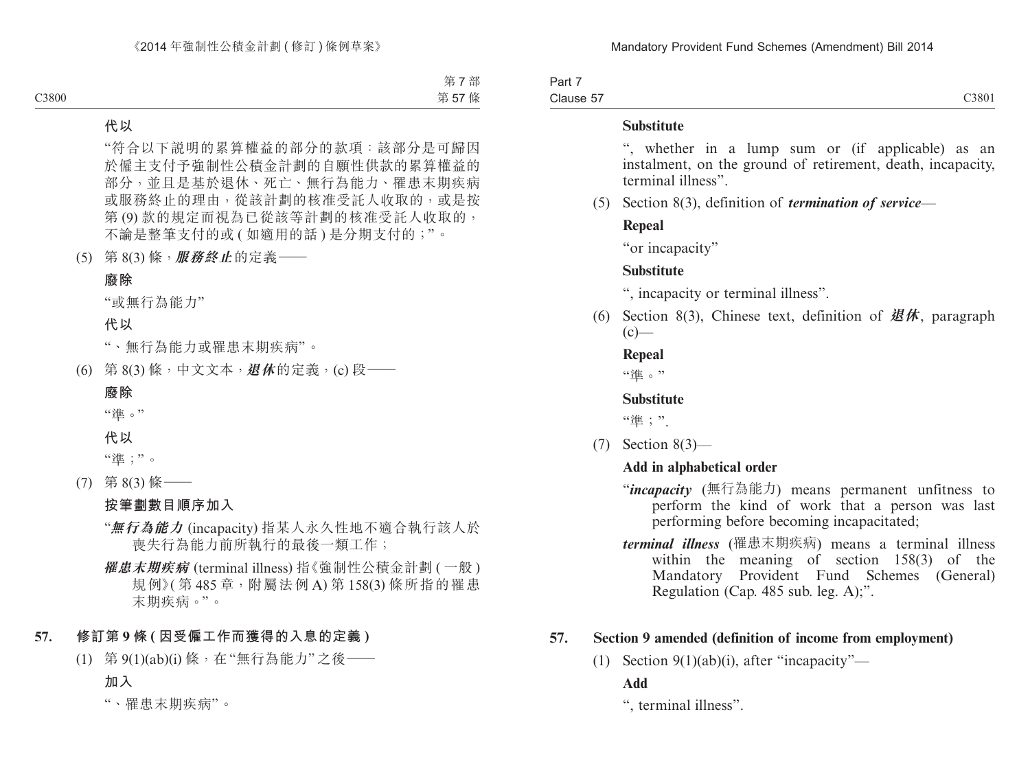Part 7 Clause 57

#### **Substitute**

", whether in a lump sum or (if applicable) as an instalment, on the ground of retirement, death, incapacity, terminal illness".

(5) Section 8(3), definition of *termination of service*—

#### **Repeal**

"or incapacity"

#### **Substitute**

", incapacity or terminal illness".

(6) Section 8(3), Chinese text, definition of **退休**, paragraph  $(c)$ —

#### **Repeal**

"淮。"

## **Substitute**

"準;"

(7) Section 8(3)—

## **Add in alphabetical order**

- "*incapacity* (無行為能力) means permanent unfitness to perform the kind of work that a person was last performing before becoming incapacitated;
- *terminal illness* (罹患末期疾病) means a terminal illness within the meaning of section 158(3) of the Mandatory Provident Fund Schemes (General) Regulation (Cap. 485 sub. leg. A);".

## **57. Section 9 amended (definition of income from employment)**

(1) Section  $9(1)(ab)(i)$ , after "incapacity"—

## **Add**

", terminal illness".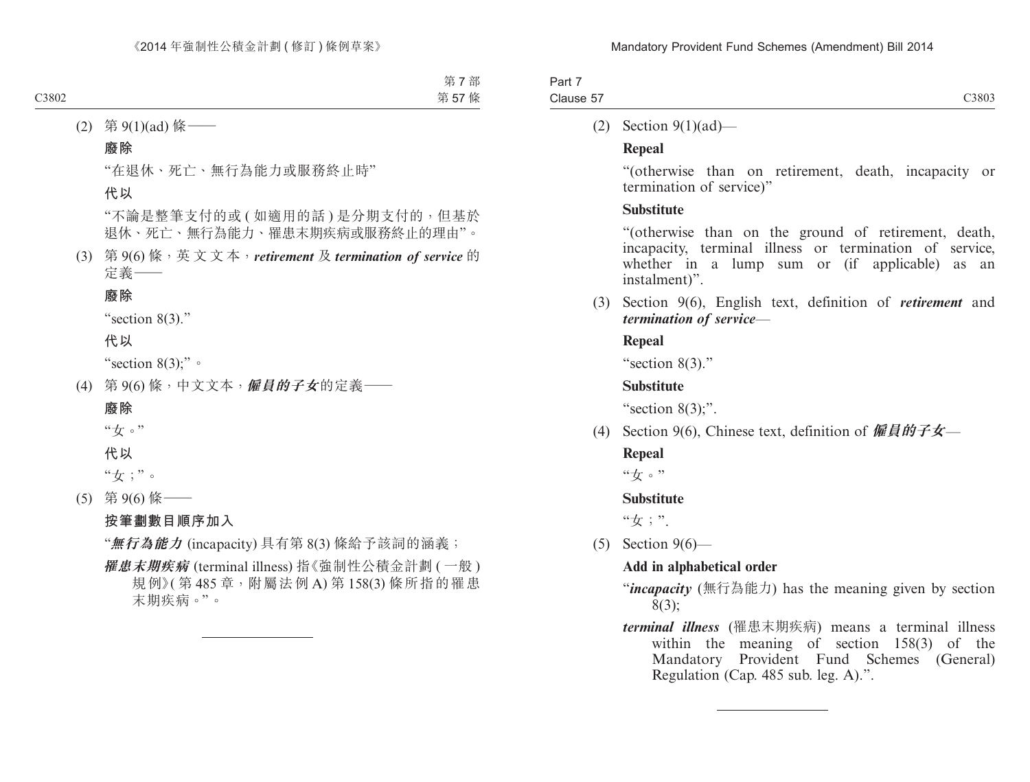| Part 7    |       |
|-----------|-------|
| Clause 57 | C3803 |

(2) Section 9(1)(ad)—

## **Repeal**

"(otherwise than on retirement, death, incapacity or termination of service)"

## **Substitute**

"(otherwise than on the ground of retirement, death, incapacity, terminal illness or termination of service, whether in a lump sum or (if applicable) as an instalment)".

(3) Section 9(6), English text, definition of *retirement* and *termination of service*—

## **Repeal**

"section 8(3)."

## **Substitute**

"section  $8(3)$ ;".

(4) Section 9(6), Chinese text, definition of **僱員的子女**—

## **Repeal**

"女。"

## **Substitute**

"女;".

(5) Section 9(6)—

# **Add in alphabetical order**

- "*incapacity* (無行為能力) has the meaning given by section 8(3);
- *terminal illness* (罹患末期疾病) means a terminal illness within the meaning of section 158(3) of the Mandatory Provident Fund Schemes (General) Regulation (Cap. 485 sub. leg. A).".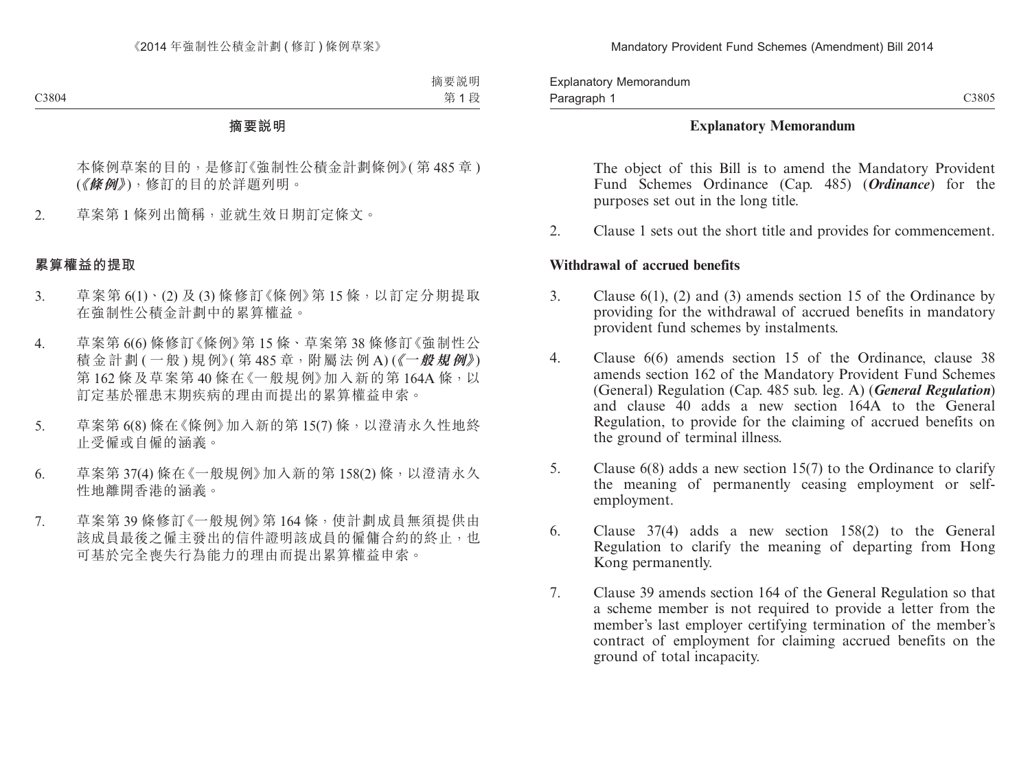C3805

#### **Explanatory Memorandum**

The object of this Bill is to amend the Mandatory Provident Fund Schemes Ordinance (Cap. 485) (*Ordinance*) for the purposes set out in the long title.

2. Clause 1 sets out the short title and provides for commencement.

#### **Withdrawal of accrued benefits**

- 3. Clause 6(1), (2) and (3) amends section 15 of the Ordinance by providing for the withdrawal of accrued benefits in mandatory provident fund schemes by instalments.
- 4. Clause 6(6) amends section 15 of the Ordinance, clause 38 amends section 162 of the Mandatory Provident Fund Schemes (General) Regulation (Cap. 485 sub. leg. A) (*General Regulation*) and clause 40 adds a new section 164A to the General Regulation, to provide for the claiming of accrued benefits on the ground of terminal illness.
- 5. Clause 6(8) adds a new section 15(7) to the Ordinance to clarify the meaning of permanently ceasing employment or selfemployment.
- 6. Clause 37(4) adds a new section 158(2) to the General Regulation to clarify the meaning of departing from Hong Kong permanently.
- 7. Clause 39 amends section 164 of the General Regulation so that a scheme member is not required to provide a letter from the member's last employer certifying termination of the member's contract of employment for claiming accrued benefits on the ground of total incapacity.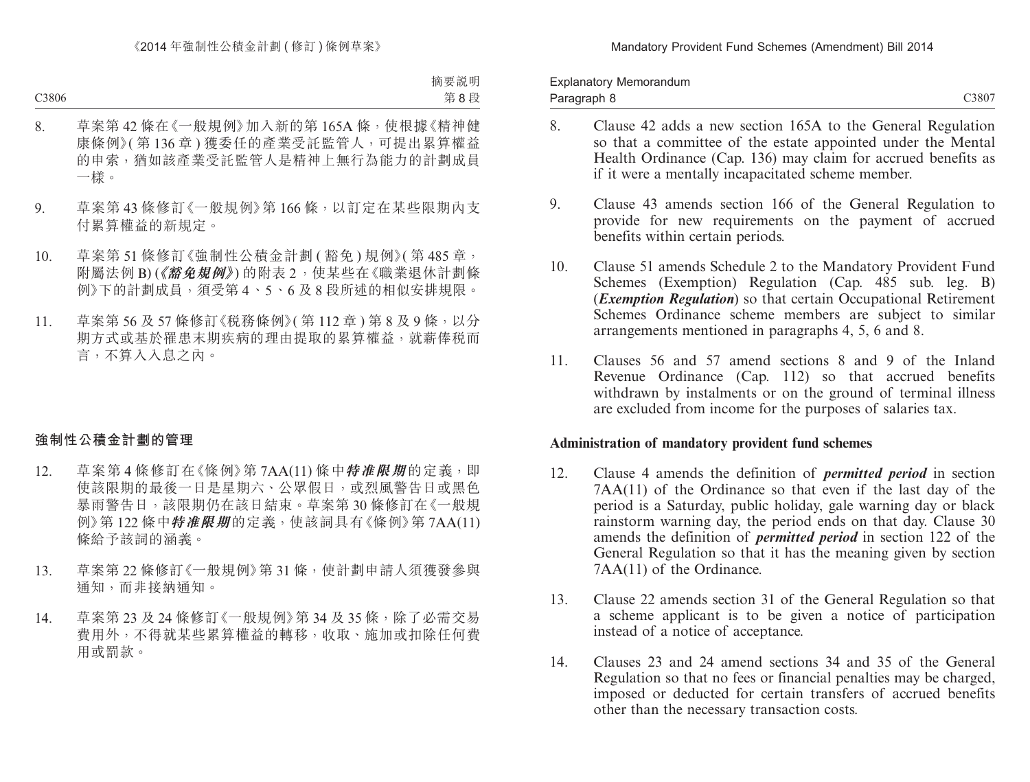- C3807
- 8. Clause 42 adds a new section 165A to the General Regulation so that a committee of the estate appointed under the Mental Health Ordinance (Cap. 136) may claim for accrued benefits as if it were a mentally incapacitated scheme member.
- 9. Clause 43 amends section 166 of the General Regulation to provide for new requirements on the payment of accrued benefits within certain periods.
- 10. Clause 51 amends Schedule 2 to the Mandatory Provident Fund Schemes (Exemption) Regulation (Cap. 485 sub. leg. B) (*Exemption Regulation*) so that certain Occupational Retirement Schemes Ordinance scheme members are subject to similar arrangements mentioned in paragraphs 4, 5, 6 and 8.
- 11. Clauses 56 and 57 amend sections 8 and 9 of the Inland Revenue Ordinance (Cap. 112) so that accrued benefits withdrawn by instalments or on the ground of terminal illness are excluded from income for the purposes of salaries tax.

#### **Administration of mandatory provident fund schemes**

- 12. Clause 4 amends the definition of *permitted period* in section 7AA(11) of the Ordinance so that even if the last day of the period is a Saturday, public holiday, gale warning day or black rainstorm warning day, the period ends on that day. Clause 30 amends the definition of *permitted period* in section 122 of the General Regulation so that it has the meaning given by section 7AA(11) of the Ordinance.
- 13. Clause 22 amends section 31 of the General Regulation so that a scheme applicant is to be given a notice of participation instead of a notice of acceptance.
- 14. Clauses 23 and 24 amend sections 34 and 35 of the General Regulation so that no fees or financial penalties may be charged, imposed or deducted for certain transfers of accrued benefits other than the necessary transaction costs.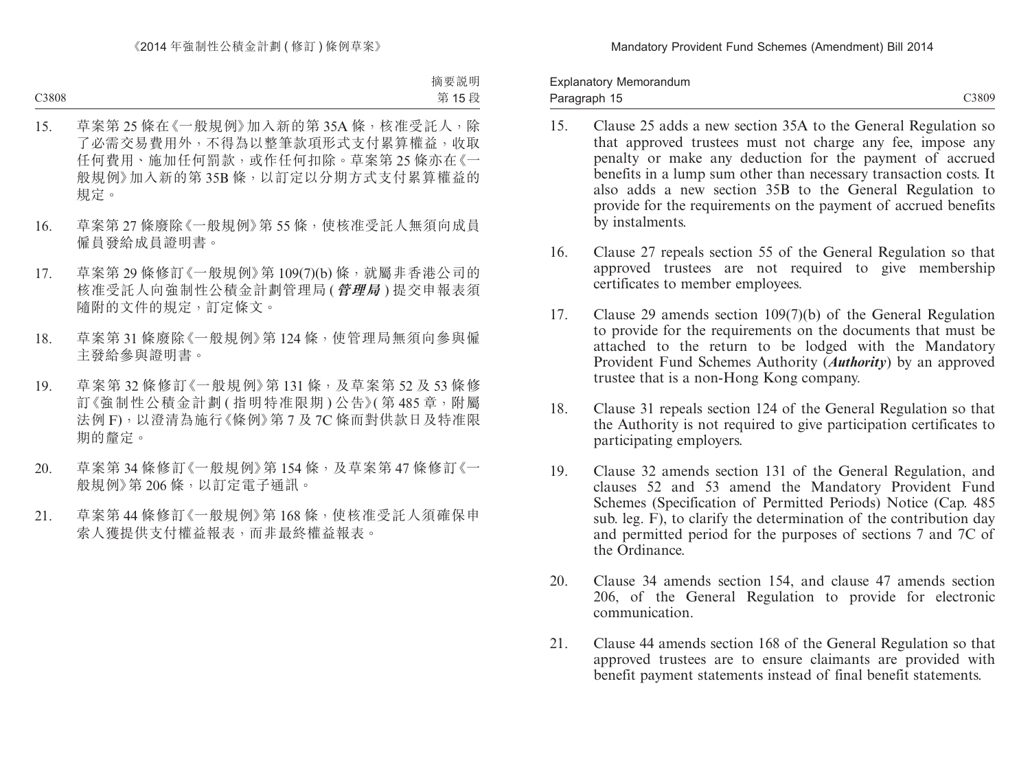C3809

- 15. Clause 25 adds a new section 35A to the General Regulation so that approved trustees must not charge any fee, impose any penalty or make any deduction for the payment of accrued benefits in a lump sum other than necessary transaction costs. It also adds a new section 35B to the General Regulation to provide for the requirements on the payment of accrued benefits by instalments.
- 16. Clause 27 repeals section 55 of the General Regulation so that approved trustees are not required to give membership certificates to member employees.
- 17. Clause 29 amends section 109(7)(b) of the General Regulation to provide for the requirements on the documents that must be attached to the return to be lodged with the Mandatory Provident Fund Schemes Authority (*Authority*) by an approved trustee that is a non-Hong Kong company.
- 18. Clause 31 repeals section 124 of the General Regulation so that the Authority is not required to give participation certificates to participating employers.
- 19. Clause 32 amends section 131 of the General Regulation, and clauses 52 and 53 amend the Mandatory Provident Fund Schemes (Specification of Permitted Periods) Notice (Cap. 485 sub. leg. F), to clarify the determination of the contribution day and permitted period for the purposes of sections 7 and 7C of the Ordinance.
- 20. Clause 34 amends section 154, and clause 47 amends section 206, of the General Regulation to provide for electronic communication.
- 21. Clause 44 amends section 168 of the General Regulation so that approved trustees are to ensure claimants are provided with benefit payment statements instead of final benefit statements.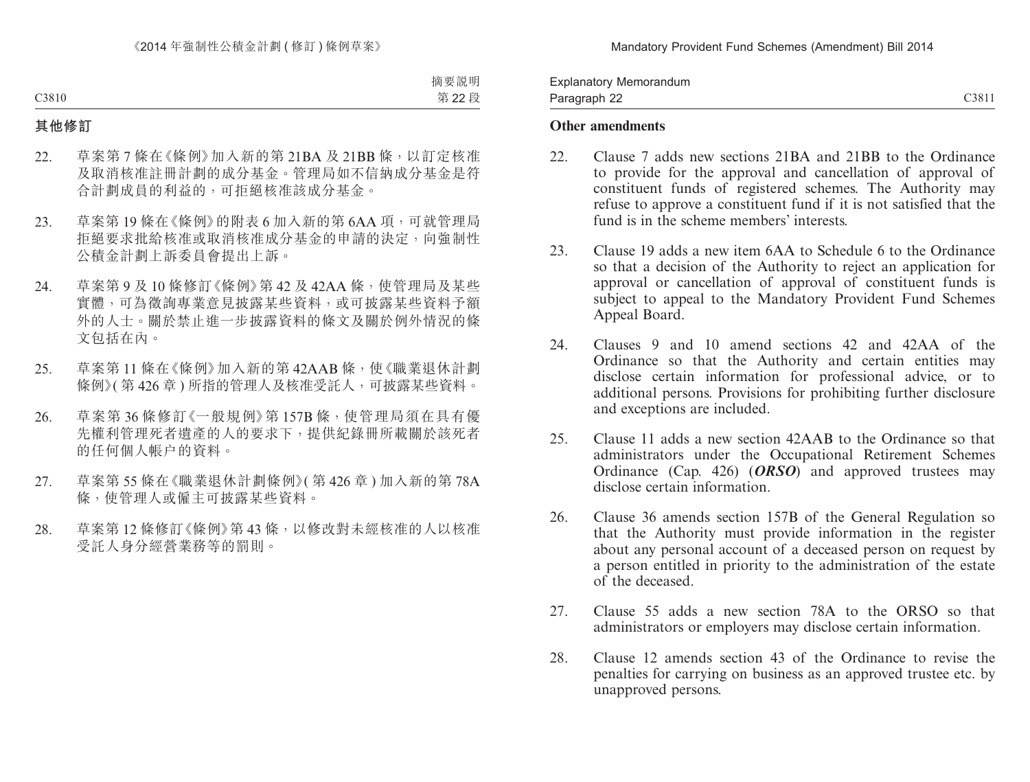C3811

#### **Other amendments**

- 22. Clause 7 adds new sections 21BA and 21BB to the Ordinance to provide for the approval and cancellation of approval of constituent funds of registered schemes. The Authority may refuse to approve a constituent fund if it is not satisfied that the fund is in the scheme members' interests.
- 23. Clause 19 adds a new item 6AA to Schedule 6 to the Ordinance so that a decision of the Authority to reject an application for approval or cancellation of approval of constituent funds is subject to appeal to the Mandatory Provident Fund Schemes Appeal Board.
- 24. Clauses 9 and 10 amend sections 42 and 42AA of the Ordinance so that the Authority and certain entities may disclose certain information for professional advice, or to additional persons. Provisions for prohibiting further disclosure and exceptions are included.
- 25. Clause 11 adds a new section 42AAB to the Ordinance so that administrators under the Occupational Retirement Schemes Ordinance (Cap. 426) (*ORSO*) and approved trustees may disclose certain information.
- 26. Clause 36 amends section 157B of the General Regulation so that the Authority must provide information in the register about any personal account of a deceased person on request by a person entitled in priority to the administration of the estate of the deceased.
- 27. Clause 55 adds a new section 78A to the ORSO so that administrators or employers may disclose certain information.
- 28. Clause 12 amends section 43 of the Ordinance to revise the penalties for carrying on business as an approved trustee etc. by unapproved persons.